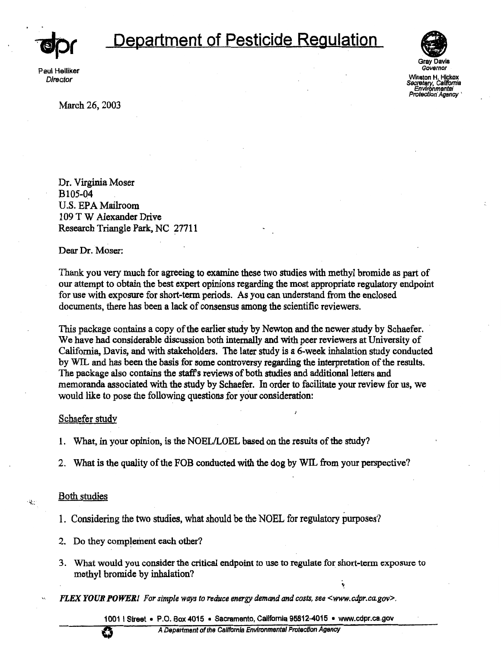

# **Department of Pesticide Regulation** *~(*

Paul Helliker **Director** 



Winston H. Hickox *SSc,etary,* Csllfomia Environmental Protection' Ag

Governor

March 26, 2003

Dr. Virginia Moser Bl05-04 U.S. EPAMailroom 109 T W Alexander Drive Research Triangle Park, NC 27711

Dear Dr. Moser:

Thank you very much for agreeing to examine these two studies with methyl bromide as part of our attempt to obtain the best expert opinions regarding the most appropriate regulatory endpoint for use with exposure for short-term periods. As you can understand from the enclosed documents, there has been a lack of consensus among the scientific reviewers.

This package contains a copy of the earlier study by Newton and the newer study by Schaefer. We have had considerable discussion both internally and with peer reviewers at University of California, Davis, and with stakeholders. The later study is a 6-week inhalation study conducted by WIL and has been the basis for some controversy regarding the interpretation of the results. The package also contains the staff's reviews of both studies and additional letters and memoranda associated with the study by Schaefer. In order to facilitate your review for us, we would like to pose the following questions for your consideration:

# Schaefer study

- 1. What, in your opinion, is the NOEL/LOEL based on the results of the study?
- 2. What is the quality of the FOB conducted with the dog by WIL from your perspective?

# Both studies

Щ.

- 1. Considering the two studies, what should be the NOEL for regulatory purposes?
- 2. Do they complement each other?
- 3. What would you consider the critical endpoint to use to regulate for short-term exposure to methyl bromide by inhalation?
- ,. *FLEX YOUR* **POWER/** *For simple ways to reduce energy demand and costs, see <www.cdpr.ca.gov>.*

1001 I Street • P.O. Box 4015 • Sacramento, California 95812-4015 • www.cdpr.ca.gov **0** A Department of the Ca/lfomla Environmental Protection Agency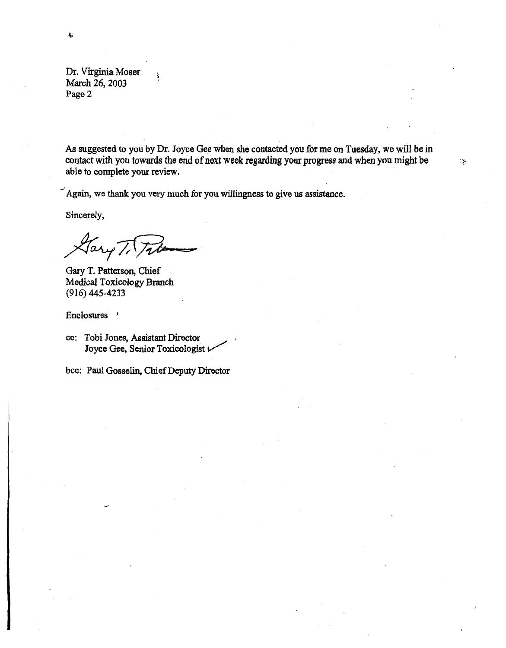Dr. Virginia Moser March 26, 2003 Page 2

As suggested to you by Dr. Joyce Gee when she contacted you for me on Tuesday, we will be in contact with you towards the end of next week regarding your progress and when you might be able to complete your review.

·:}.

 $\mathcal{L}_{\text{max}}$  . The set of the set of the set of the set of the set of the set of the set of the set of the set of the set of the set of the set of the set of the set of the set of the set of the set of the set of the set Again, we thank you very much for you willingness to give us assistance.

Sincerely,

Gary T. Patterson, Chief Medical Toxicology Branch (916) 445-4233

Enclosures /

bee: Paul Gosselin, Chief Deputy Director

cc: Tobi Jones, Assistant Director Joyce Gee, Senior Toxicologist *v*   $\mathcal{L}^{\perp}$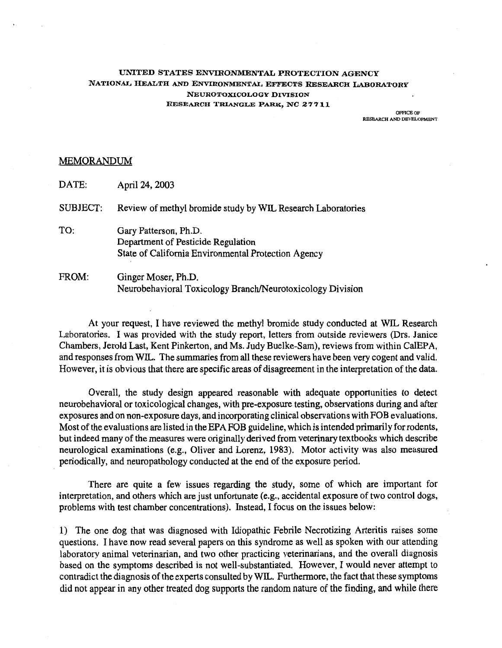## **UNITED STATES ENVIRONMENTAL PROTECTION AGENCY NATIONAL IIEALTH AND ENVIRONMENTAL EFFECTS RESEARCH LABORATORY NEUROTOXICOLOGY DIVISION RESEARCH TRIANGLE PARK, NC 27711**

OFFICE OF<br>RESEARCH AND DEVELOPMENT

# MEMORANDUM

DATE: April 24, 2003

SUBJECT: Review of methyl bromide study by WIL Research Laboratories

- TO: Gary Patterson, Ph.D. Department of Pesticide Regulation State of California Environmental Protection Agency
- FROM: Ginger Moser, Ph.D. Neurobehavioral Toxicology Branch/Neurotoxicology Division

At your request, I have reviewed the methyl bromide study conducted at WIL Research Laboratories. I was provided with the study report, letters from outside reviewers (Drs. Janice Chambers, Jerold Last, Kent Pinkerton, and Ms. Judy Buelke-Sam), reviews from within CalEP A, and responses from WIL. The summaries from all these reviewers have been very cogent and valid. However, it is obvious that there are specific areas of disagreement in the interpretation of the data.

Overall, the study design appeared reasonable with adequate opportunities to detect neurobehavioral or toxicological changes, with pre-exposure testing, observations during and after exposures and on non-exposure days, and incorporating clinical observations with FOB evaluations. Most of the evaluations are listed in the EPA FOB guideline, which is intended primarily for rodents, but indeed many of the measures were originally derived from veterinary textbooks which describe neurological examinations (e.g., Oliver and Lorenz, 1983). Motor activity was also measured periodically, and neuropathology conducted at the end of the exposure period.

There are quite a few issues regarding the study, some of which are important for interpretation, and others which are just unfortunate (e.g., accidental exposure of two control dogs, problems with test chamber concentrations). Instead, I focus on the issues below:

1) The one dog that was diagnosed with Idiopathic Febrile Necrotizing Arteritis raises some questions. I have now read several papers on this syndrome as well as spoken with our attending laboratory animal veterinarian, and two other practicing veterinarians, and the overall diagnosis based on the symptoms described is not well-substantiated. However, I would never attempt to contradict the diagnosis of the experts consulted by WIL. Furthermore, the fact that these symptoms did not appear in any other treated dog supports the random nature of the finding, and while there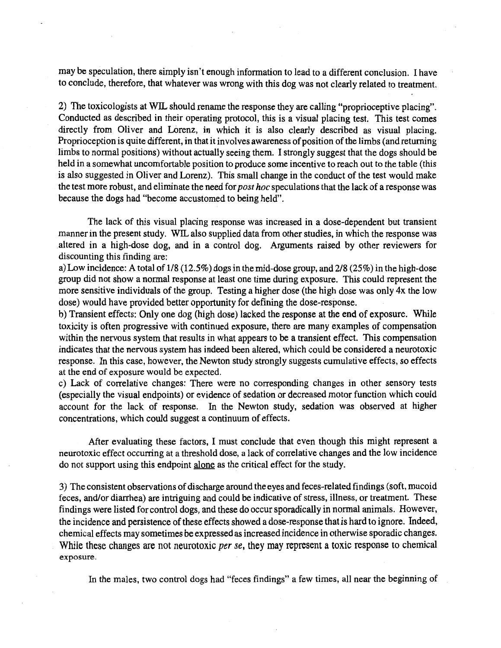may be speculation, there simply isn't enough information to lead to a different conclusion. I have to conclude, therefore, that whatever was wrong with this dog was not clearly related to treatment.

2) The toxicologists at WJL should rename the response they are calling "proprioceptive placing". Conducted as described in their operating protocol, this is a visual placing test. This test comes directly from Oliver and Lorenz, in which it is also clearly described as visual placing. Proprioception is quite different, in that it involves awareness of position of the limbs (and returning limbs to normal positions) without actually seeing them. I strongly suggest that the dogs should be held in a somewhat uncomfortable position to produce some incentive to reach out to the table (this is also suggested in Oliver and Lorenz). This small change in the conduct of the test would make the test more robust, and eliminate the need for *post hoc* speculations that the lack of a response was because the dogs had "become accustomed to being held".

The lack of this visual placing response was increased in a dose-dependent but transient manner in the present study. WIL also supplied data from other studies, in which the response was .altered in a high-dose dog, and in a control dog. Arguments raised by other reviewers for discounting this finding are:

a) Low incidence: A total of  $1/8$  (12.5%) dogs in the mid-dose group, and  $2/8$  (25%) in the high-dose group did not show a normal response at least one time during exposure. This could represent the more sensitive individuals of the group. Testing a higher dose (the high dose was only 4x the low dose) would have provided better opportunity for defining the dose-response.

b) Transient effects: Only one dog (high dose) lacked the response at the end of exposure. While toxicity is often progressive with continued exposure, there are many examples of compensation within the nervous system that results in what appears to be a transient effect. This compensation indicates that the nervous system has indeed been altered, which could be considered a neurotoxic response. In this case, however, the Newton study strongly suggests cumulative effects, so effects at the end of exposure would be expected.

c) Lack of correlative changes: There were no corresponding changes in other sensory tests (especially the visual endpoints) or evidence of sedation or decreased motor function which could account for the lack of response. In the Newton study, sedation was observed at higher concentrations, which could suggest a continuum of effects.

After evaluating these factors, I must conclude that even though this might represent a neurotoxic effect occurring at a threshold dose, a lack of correlative changes and the low incidence do not support using this endpoint alone as the critical effect for the study.

3) The consistent observations of discharge around the eyes and feces-related findings (soft, mucoid feces, and/or diarrhea) are intriguing and could be indicative of stress, illness, or treatment. These findings were listed for control dogs, and these do occur sporadically in normal animals. However, the incidence and persistence of these effects showed a dose-response that is hard to ignore. Indeed, chemical effects may sometimes be expressed as increased incidence in otherwise sporadic changes. While these changes are not neurotoxic *per se,* they may represent a toxic response to chemical exposure.

In the males, two control dogs had "feces findings" a few times, all near the beginning of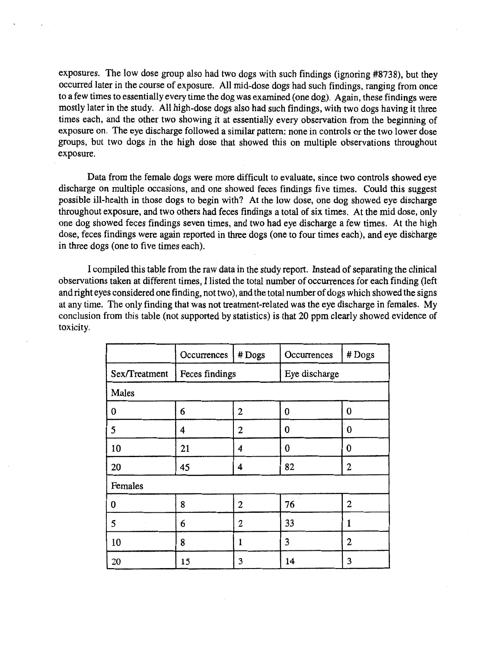exposures. The low dose group also had two dogs with such findings (ignoring #8738), but they occurred later in the course of exposure. All mid-dose dogs had such findings, ranging from once to a few times to essentially every time the dog was examined (one dog). Again, these findings were mostly later in the study. All high-dose dogs also had such findings, with two dogs having it three times each, and the other two showing it at essentially every observation from the beginning of exposure on. The eye discharge followed a similar pattern: none in controls or the two lower dose groups, but two dogs in the high dose that showed this on multiple observations throughout exposure.

Data from the female dogs were more difficult to evaluate, since two controls showed eye discharge on multiple occasions, and one showed feces findings five times. Could this suggest possible ill-health in those dogs to begin with? At the low dose, one dog showed eye discharge throughout exposure, and two others had feces findings a total of six times. At the mid dose, only one dog showed feces findings seven times, and two had eye discharge a few times. At the high dose, feces findings were again reported in three dogs (one to four times each), and eye discharge in three dogs (one to five times each).

I compiled this table from the raw data in the study report. Instead of separating the clinical observations taken at different times, I listed the total number of occurrences for each finding (left and right eyes considered one finding, not two), and the total number of dogs which showed the signs at any time. The only finding that was not treatment-related was the eye discharge in females. My conclusion from this table (not supported by statistics) is that 20 ppm clearly showed evidence of toxicity.

|               | Occurrences    | #Dogs        | Occurrences   | #Dogs            |
|---------------|----------------|--------------|---------------|------------------|
| Sex/Treatment | Feces findings |              | Eye discharge |                  |
| Males         |                |              |               |                  |
| 0             | 6              | 2            | 0             | $\bf{0}$         |
| 5             | 4              | $\mathbf{2}$ | 0             | 0                |
| 10            | 21             | 4            | $\bf{0}$      | $\bf{0}$         |
| 20            | 45             | 4            | 82            | $\boldsymbol{2}$ |
| Females       |                |              |               |                  |
| 0             | 8              | 2            | 76            | $\overline{c}$   |
| 5             | 6              | 2            | 33            | 1                |
| 10            | 8              | 1            | 3             | $\mathbf{2}$     |
| 20            | 15             | 3            | 14            | 3                |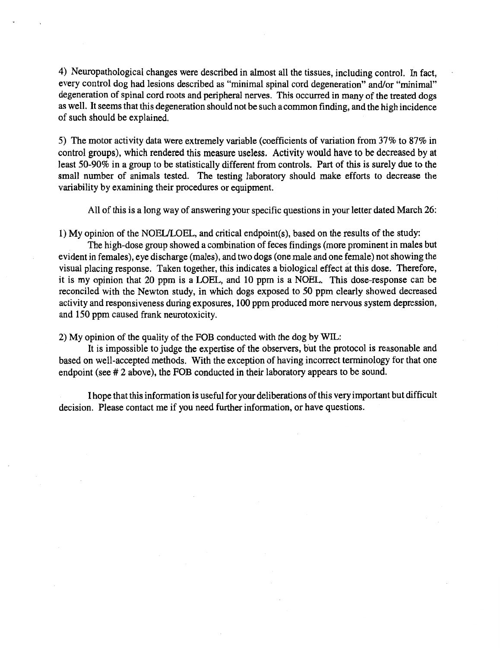4) Neuropathological changes were described in almost all the tissues, including control. In fact, every control dog had lesions described as "minimal spinal cord degeneration" and/or "minimal" degeneration of spinal cord roots and peripheral nerves. This occurred in many of the treated dogs as well. It seems that this degeneration should not be such a common finding, and the high incidence of such should be explained.

5) The motor activity data were extremely variable (coefficients of variation from 37% to 87% in control groups), which rendered this measure useless. Activity would have to be decreased by at least 50-90% in a group to be statistically different from controls. Part of this is surely due to the small number of animals tested. The testing laboratory should make efforts to decrease the variability by examining their procedures or equipment.

All of this is a long way of answering your specific questions in your letter dated March 26:

1) My opinion of the NOEULOEL, and critical endpoint(s), based on the results of the study:

The high-dose group showed a combination of feces findings (more prominent in males but evident in females), eye discharge (males), and two dogs (one male and one female) not showing the visual placing response. Taken together, this indicates a biological effect at this dose. Therefore, it is my opinion that 20 ppm is a LOEL, and 10 ppm is a NOEL. This dose-response can be reconciled with the Newton study, in which dogs exposed to 50 ppm clearly showed decreased activity and responsiveness during exposures, 100 ppm produced more nervous system depression, and 150 ppm caused frank neurotoxicity.

2) My opinion of the quality of the FOB conducted with the dog by WlL:

It is impossible to judge the expertise of the observers, but the protocol is reasonable and based on well-accepted methods. With the exception of having incorrect terminology for that one endpoint (see # 2 above), the FOB conducted in their laboratory appears to be sound.

I hope that this information is useful for your deliberations of this very important but difficult decision. Please contact me if you need further information, or have questions.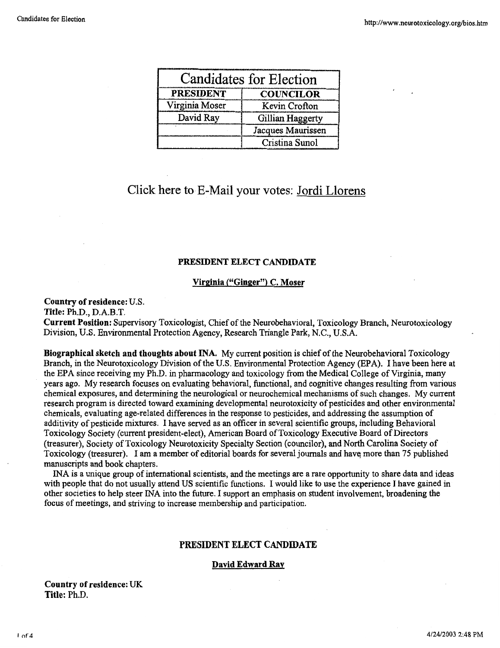| <b>Candidates for Election</b> |                   |  |
|--------------------------------|-------------------|--|
| <b>PRESIDENT</b>               | <b>COUNCILOR</b>  |  |
| Virginia Moser                 | Kevin Crofton     |  |
| David Ray                      | Gillian Haggerty  |  |
|                                | Jacques Maurissen |  |
|                                | Cristina Sunol    |  |

# Click here to E-Mail your votes: Jordi Llorens

## **PRESIDENT ELECT CANDIDATE**

### **Virginia {"Ginger") C. Moser**

#### **Country of residence:** U.S.

**Title:** Ph.D., D.A.B.T.

**Current Position:** Supervisory Toxicologist, Chief of the Neurobehavioral, Toxicology Branch, Neurotoxicology Division, U.S. Environmental Protection Agency, Research Triangle Park, N.C., U.S.A.

**Biographical sketch and thoughts about INA.** My current position is chief of the Neurobehavioral Toxicology Branch, in the Neurotoxicology Division of the U.S. Environmental Protection Agency (EPA). I have been here at the EPA since receiving my Ph.D. in pharmacology and toxicology from the Medical College of Virginia, many years ago. My research focuses on evaluating behavioral, functional, and cognitive changes resulting from various chemical exposures, and determining the neurological or neurochemical mechanisms of such changes. My current research program is directed toward examining developmental neurotoxicity of pesticides and other environmental chemicals, evaluating age-related differences in the response to pesticides, and addressing the assumption of additivity of pesticide mixtures. I have served as an officer in several scientific groups, including Behavioral Toxicology Society (current president-elect), American Board of Toxicology Executive Board of Directors (treasurer), Society of Toxicology Neurotoxicity Specialty Section (councilor), and North Carolina Society of Toxicology (treasurer). I am a member of editorial boards for several journals and have more than 75 published manuscripts and book chapters.

INA is a unique group of international scientists, and the meetings are a rare opportunity to share data and ideas with people that do not usually attend US scientific functions. I would like to use the experience I have gained in other societies to help steer INA into the future. I support an emphasis on student involvement, broadening the focus of meetings, and striving to increase membership and participation.

#### **PRESIDENT ELECT CANDIDATE**

#### **David Edward Ray**

**Country of residence:** UK **Title:** Ph.D.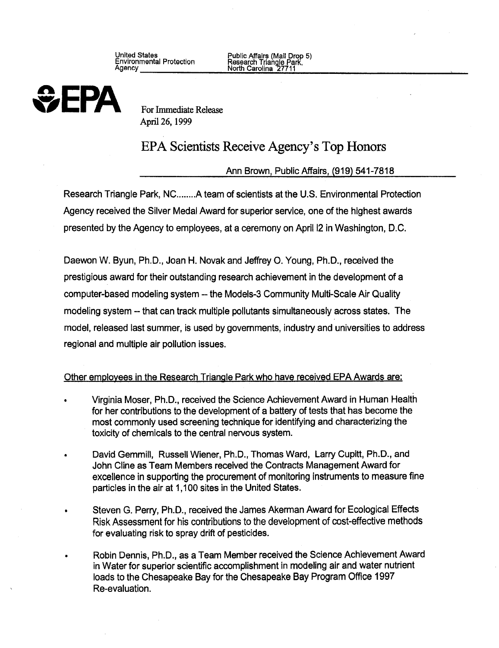United States Public Affairs (Mail Drop 5)<br>
Environmental Protection Research Triangle Park,<br>
Agency \_\_\_\_\_\_\_\_\_\_\_\_\_\_\_\_\_\_\_\_\_\_\_ North Carolina 27711



April 26, 1999

# EPA Scientists Receive Agency's Top Honors

Ann Brown, Public Affairs, (919) 541-7818

Research Triangle Park, NC........A team of scientists at the U.S. Environmental Protection Agency received the Silver Medal Award for superior service, one of the highest awards presented by the Agency to employees, at a ceremony on April 12 in Washington, D.C.

Daewon W. Byun, Ph.D., Joan H. Novak and Jeffrey 0. Young, Ph.D., received the prestigious award for their outstanding research achievement in the development of a computer-based modeling system -- the Models-3 Community Multi-Scale Air Quality modeling system -- that can track multiple pollutants simultaneously across states. The model, released last summer, is used by governments, industry and universities to address regional and multiple air pollution issues.

# Other employees in the Research Triangle Park who have received EPA Awards are:

- Virginia Moser, Ph.D., received the Science Achievement Award in Human Health for her contributions to the development of a battery of tests that has become the most commonly used screening technique for identifying and characterizing the toxicity of chemicals to the central nervous system.
- David Gemmill, Russell Wiener, Ph.D., Thomas Ward, Larry Cupitt, Ph.D., and John Cline as Team Members received the Contracts Management Award for excellence in supporting the procurement of monitoring instruments to measure fine particles in the air at 1,100 sites in the United States.
- Steven G. Perry, Ph.D., received the James Akerman Award for Ecological Effects Risk Assessment for his contributions to the development of cost-effective methods for evaluating risk to spray drift of pesticides.
- Robin Dennis, Ph.D., as a Team Member received the Science Achievement Award in Water for superior scientific accomplishment in modeling air and water nutrient loads to the Chesapeake Bay for the Chesapeake Bay Program Office 1997 Re-evaluation.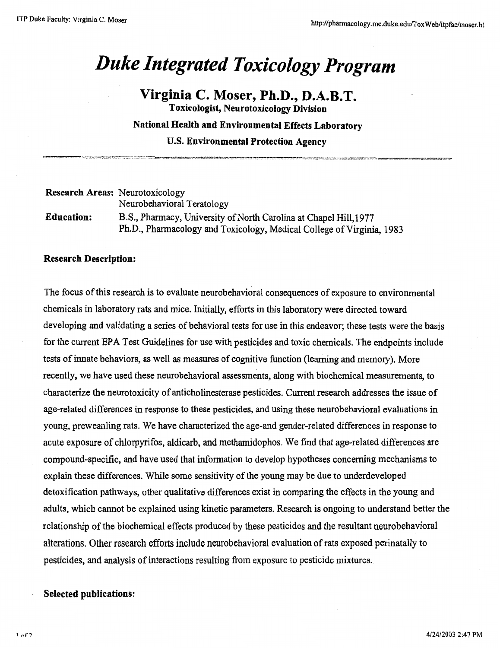# *Duke Integrated Toxicology Program*

**Virginia C. Moser, Ph.D., D.A.B.T. Toxicologist, Neurotoxicology Division National Health and Environmental Effects Laboratory U.S. Environmental Protection Agency** 

| <b>Research Areas:</b> Neurotoxicology |                                                                       |
|----------------------------------------|-----------------------------------------------------------------------|
|                                        | Neurobehavioral Teratology                                            |
| <b>Education:</b>                      | B.S., Pharmacy, University of North Carolina at Chapel Hill, 1977     |
|                                        | Ph.D., Pharmacology and Toxicology, Medical College of Virginia, 1983 |

## **Research Description:**

The focus of this research is to evaluate neurobehavioral consequences of exposure to environmental chemicals in laboratory rats and mice. Initially, efforts in this laboratory were directed toward developing and validating a series of behavioral tests for use in this endeavor; these tests were the basis for the current EPA Test Guidelines for use with pesticides and toxic chemicals. The endpoints include tests of innate behaviors, as well as measures of cognitive function (learning and memory). More recently, we have used these neurobehavioral assessments, along with biochemical measurements, to characterize the neurotoxicity of anticholinesterase pesticides. Current research addresses the issue of age-related differences in response to these pesticides, and using these neurobehavioral evaluations in young, preweanling rats. We have characterized the age-and gender-related differences in response to acute exposure of chlorpyrifos, aldicarb, and methamidophos. We find that age-related differences are compound-specific, and have used that information to develop hypotheses concerning mechanisms to explain these differences. While some sensitivity of the young may be due to underdeveloped detoxification pathways, other qualitative differences exist in comparing the effects in the young and adults, which cannot be explained using kinetic parameters. Research is ongoing to understand better the relationship of the biochemical effects produced by these pesticides and the resultant neurobehavioral alterations. Other research efforts include neurobehavioral evaluation of rats exposed perinatally to pesticides, and analysis of interactions resulting from exposure to pesticide mixtures.

# **Selected publications:**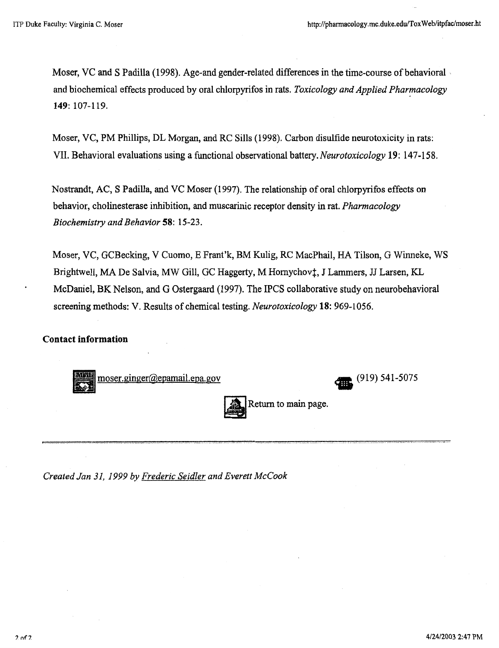Moser, VC and S Padilla (1998). Age-and gender-related differences in the time-course of behavioral . and biochemical effects produced by oral chlorpyrifos in rats. *Toxicology and Applied Pharmacology* **149:** 107-119.

Moser, VC, PM Phillips, DL Morgan, and RC Sills (1998). Carbon disulfide neurotoxicity in rats: VII. Behavioral evaluations using a functional observational *battery.Neurotoxicology* **19:** 147-158.

Nostrandt, AC, S Padilla, and VC Moser (1997). The relationship of oral chlorpyrifos effects on behavior, cholinesterase inhibition, and muscarinic receptor density in rat. *Pharmacology Biochemistry and Behavior* **58:** 15-23.

Moser, VC, GCBecking, V Cuomo, E Frant'k, BM Kulig, RC MacPhail, HA Tilson, G Winneke, WS Brightwell, MA De Salvia, MW Gill, GC Haggerty, M Hornychov‡, J Lammers, JJ Larsen, KL McDaniel, BK Nelson, and G Ostergaard (1997). The IPCS collaborative study on neurobehavioral screening methods: V. Results of chemical testing. *Neurotoxicology* **18:** 969-1056.

# **Contact information**

moser .ginger@epamail.epa.gov **tl5** (919) 541-5075



*Created Jan 31, 1999* by *Frederic Seidler and Everett McCook*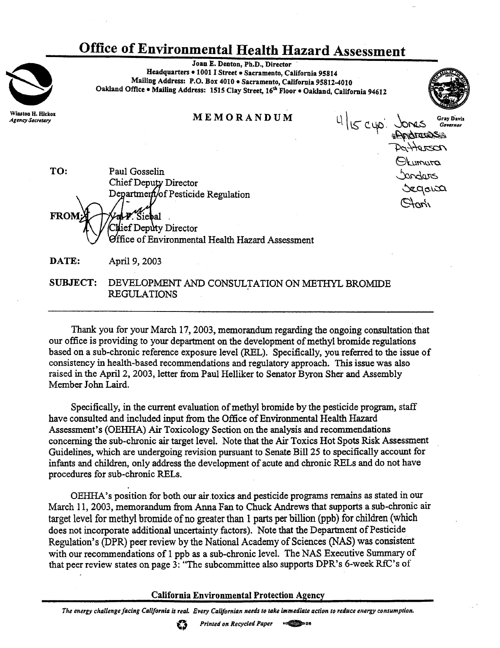# **Office of Environmental Health Hazard Assessment**

Joan E. Denton, Ph.D., Director · Headquarters • 1001 I Street • Sacramento, California 95814 Mailing Address: P.O. Box 4010 • Sacramento, California 95812-4010 Oakland Office • Mailing Address: 1515 Clay Street, 16<sup>th</sup> Floor • Oakland, California 94612

**MEMORANDUM** 

 $4|15|$  cyp.



OLumura

*bandurs* 

Sagara

TO: Paul Gosselin Chief Deputy Director Department/of Pesticide Regulation **FROM** Siebal . Chief Deputy Director Office of Environmental Health Hazard Assessment

**DATE:** April 9, 2003

**Winston H. Hickox Agency Secretary** 

> SUBJECT: DEVELOPMENT AND CONSULTATION ON METHYL BROMIDE REGULATIONS .

Thank you for your March 17, 2003, memorandum regarding the ongoing consultation that our office is providing to your department on the development of methyl bromide regulations based on a sub-chronic reference exposure level (REL). Specifically, you referred to the issue of consistency in health-based recommendations and regulatory approach. This issue was also raised in the April 2, 2003, letter from Paul Helliker to Senator Byron Sher and Assembly Member John Laird.

Specifically, in the current evaluation of methyl bromide by the pesticide program, staff have consulted and included input from the Office of Environmental Health Hazard Assessment's (OEHHA) Air Toxicology Section on the analysis and recommendations concerning the sub-chronic air target level. Note that the Air Toxics Hot Spots Risk Assessment Guidelines, which are undergoing revision pursuant to Senate Bill 25 to specifically account for infants and children, only address the development of acute and chronic RELs and do not have procedures for sub-chronic RELs.

OEHHA's position for both our air.toxics and pesticide programs remains as stated in our March 11, 2003, memorandum from Anna Fan to Chuck Andrews that supports a sub-chronic air target level for methyl bromide of no greater than 1 parts per billion (ppb) for children (which does not incorporate additional uncertainty factors). Note that the Department of Pesticide Regulation's (DPR) peer review by the National Academy of Sciences (NAS) was consistent with our recommendations of 1 ppb as a sub-chronic level. The NAS Executive Summary of that peer review states on page  $3$ : "The subcommittee also supports DPR's 6-week RfC's of

**California Environmental Protection Agency** 

The energy challenge facing California is real. Every Californian needs to take immediate action to reduce energy consumption.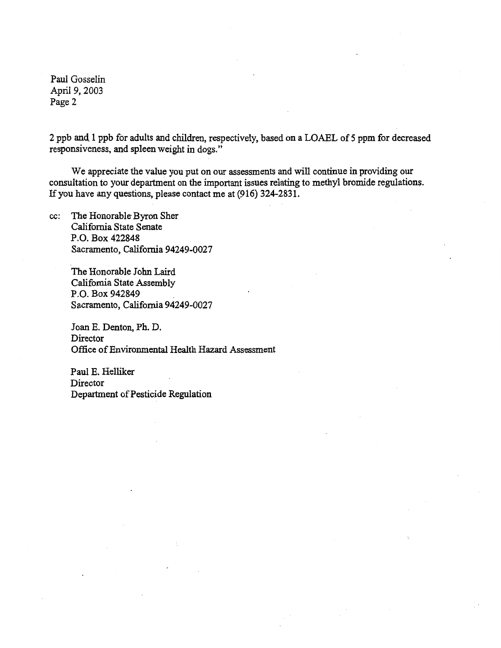Paul Gosselin April 9, 2003 Page 2

2 ppb and 1 ppb for adults and children, respectively, based on a LOAEL of *5* ppm for decreased responsiveness, and spleen weight in dogs."

We appreciate the value you put on our assessments and will continue in providing our consultation to your department on the important issues relating to methyl bromide regulations. If you have any questions, please contact me at (916) 324-2831.

cc: The Honorable Byron Sher California State Senate P.O. Box 422848 Sacramento, California 94249-0027

> The Honorable John Laird California State Assembly P.O. Box 942849 . Sacramento, California 94249-0027

Joan E. Denton, Ph. D. Director Office of Environmental Health Hazard Assessment

Paul E. Helliker Director Department of Pesticide Regulation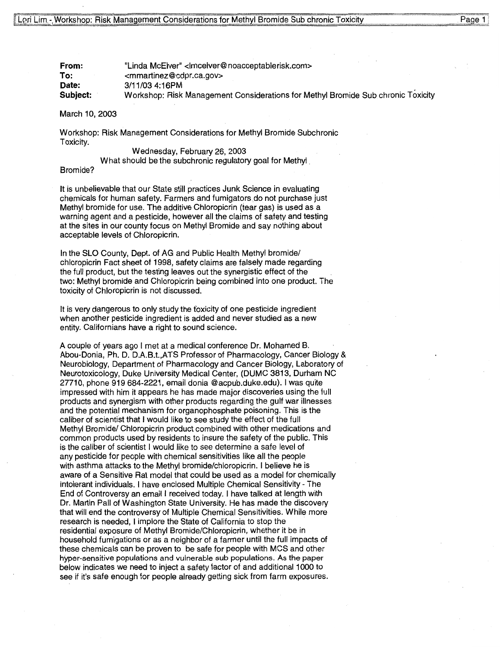**From: To: Date: Subject:**  "Linda McElver" <lmcelver@noacceptablerisk.com> <mmartinez@cdpr.ca.gov> 3/11/03 4:16PM Workshop: Risk Management Considerations for Methyl Bromide Sub chronic Toxicity

#### March 10, 2003

Workshop: Risk Management Considerations for Methyl Bromide Subchronic Toxicity.

#### Wednesday, February 26, 2003

What should be the subchronic regulatory goal for Methyl

#### Bromide?

It is unbelievable that our State still practices Junk Science in evaluating chemicals for human safety. Farmers and fumigators do not purchase just Methyl bromide for use. The additive Chloropicrin (tear gas) is used as a warning agent and a pesticide, however all the claims of safety and testing at the sites in our county focus on Methyl Bromide and say nothing about acceptable levels of Chloropicrin.

In the SLO County, Dept. of AG and Public Health Methyl bromide/ chloropicrin Fact sheet of 1998, safety claims are falsely made regarding the full product, but the testing leaves out the synergistic effect of the two: Methyl bromide and Chloropicrin being combined into one product. The toxicity of Chloropicrin is not discussed.

It is very dangerous to only study the foxicity of one pesticide ingredient when another pesticide ingredient is added and never studied as a new entity. Californians have a right to sound science.

A couple of years ago I met at a medical conference Dr. Mohamed B. Abou-Donia, Ph.D. D.A.B.t.,ATS Professor of Pharmacology, Cancer Biology & Neurobiology, Department of Pharmacology and Cancer Biology, Laboratory of Neurotoxicology, Duke University Medical Center, (DUMC 3813, Durham NC 27710, phone 919 684-2221, email donia @acpub.duke.edu). I was quite impressed with him it appears he has made major discoveries using the full products and synergism with other products regarding the gulf war illnesses and the potential mechanism for organophosphate poisoning. This is the caliber of scientist that I would like to see study the effect of the full Methyl Bromide/ Chloropicrin product combined with other medications and common products used by residents to insure the safety of the public. This is the caliber of scientist I would like to see determine a safe level of any pesticide for people with chemical sensitivities like all the people with asthma attacks to the Methyl bromide/chloropicrin. I believe he is aware of a Sensitive Rat model that could be used as a model for chemically intolerant individuals. I have enclosed Multiple Chemical Sensitivity - The End of Controversy an email I received today. I have talked at length with Dr. Martin Pall of Washington State University. He has made the discovery that will end the controversy of Multiple Chemical Sensitivities. While more research is needed, I implore the State of California to stop the residential exposure of Methyl Bromide/Chloropicrin, whether it be in household fumigations or as a neighbor of a farmer until the full impacts of these chemicals can be proven to be safe for people with MCS and other hyper-sensitive populations and vulnerable sub populations. As the paper below indicates we need to inject a safety factor of and additional 1000 to see if it's safe enough for people already getting sick from farm exposures.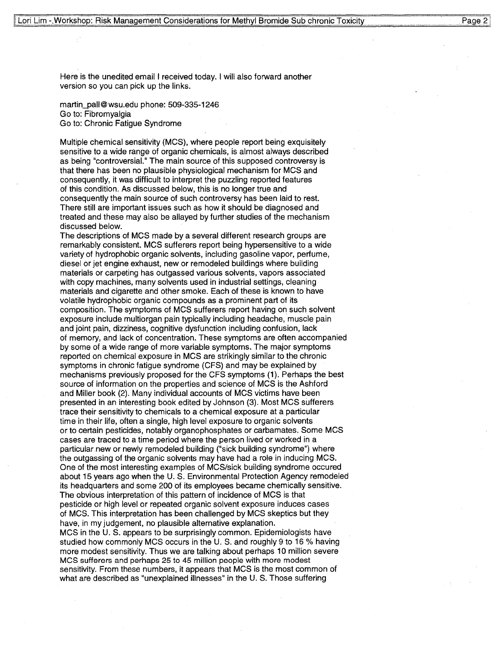Here is the unedited email I received today. I will also forward another version so you can pick up the links.

martin\_pall@wsu.edu phone: 509-335-1246 Go to: Fibromyalgia Go to: Chronic Fatigue Syndrome

Multiple chemical sensitivity (MCS), where people report being exquisitely sensitive to a wide range of organic chemicals, is almost always described as being "controversial." The main source of this supposed controversy is that there has been no plausible physiological mechanism for MCS and consequently, it was difficult to interpret the puzzling reported features of this condition. As discussed below, this is no longer true and consequently the main source of such controversy has been laid to rest. There still are important issues such as how it should be diagnosed and treated and these may also be allayed by further studies of the mechanism discussed below.

The descriptions of MCS made by a several different research groups are remarkably consistent. MCS sufferers report being hypersensitive to a wide variety of hydrophobic organic solvents, including gasoline vapor, perfume, diesel or jet engine exhaust, new or remodeled buildings where building materials or carpeting has outgassed various solvents, vapors associated with copy machines, many solvents used in industrial settings, cleaning materials and cigarette and other smoke. Each of these is known to have volatile hydrophobic organic compounds as a prominent part of its composition. The symptoms of MCS sufferers report having on such solvent exposure include multiorgan pain typically including headache, muscle pain and joint pain, dizziness, cognitive dysfunction including confusion, lack of memory, and lack of concentration. These symptoms are often accompanied by some of a wide range of more variable symptoms. The major symptoms reported on chemical exposure in MCS are strikingly similar to the chronic symptoms in chronic fatigue syndrome (CFS) and may be explained by mechanisms previously proposed for the CFS symptoms (1). Perhaps the best source of information on the properties and science of MCS is the Ashford and Miller book (2). Many individual accounts of MCS victims have been presented in an interesting book edited by Johnson (3). Most MCS sufferers trace their sensitivity to chemicals to a chemical exposure at a particular time in their life, often a single, high level exposure to organic solvents or to certain pesticides, notably organophosphates or carbamates. Some MCS cases are traced to a time period where the person lived or worked in a particular new or newly remodeled building ("sick building syndrome") where the outgassing of the organic solvents may have had a role in inducing MCS. One of the most interesting examples of MCS/sick building syndrome occured about 15 years ago when the U.S. Environmental Protection Agency remodeled its headquarters and some 200 of its employees became chemically sensitive. The obvious interpretation of this pattern of incidence of MCS is that pesticide or high level or repeated organic solvent exposure induces cases of MCS. This interpretation has been challenged by MCS skeptics but they have, in my judgement, no plausible alternative explanation.

MCS in the U. S. appears to be surprisingly common. Epidemiologists have studied how commonly MCS occurs in the U. S. and roughly 9 to 16 % having more modest sensitivity. Thus we are talking about perhaps 10 million severe MCS sufferers and perhaps 25 to 45 million people with more modest sensitivity. From these numbers, it appears that MCS is the most common of what are described as "unexplained illnesses" in the U.S. Those suffering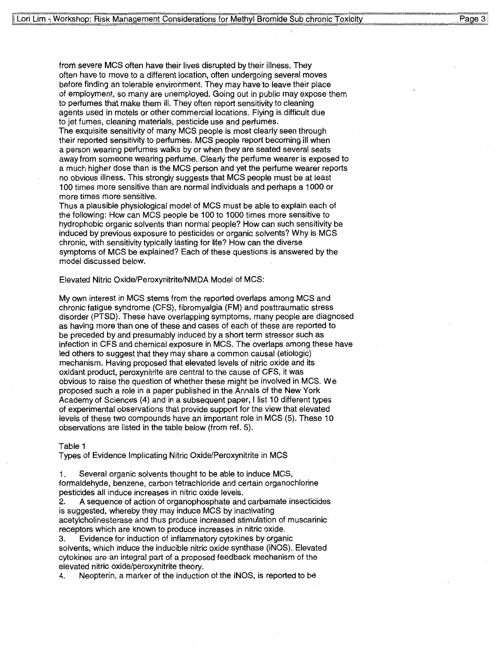from severe MCS often have their lives disrupted by their illness. They often have to move to a different location, often undergoing several moves before finding an tolerable environment. They may have to leave their place of employment, so many are unemployed. Going out in public may expose them to perfumes that make them ill. They often report sensitivity to cleaning agents used in motels or other commercial locations. Flying is difficult due to jet fumes, cleaning materials, pesticide use and perfumes.

The exquisite sensitivity of many MCS people is most clearly seen through their reported sensitivity to perfumes. MCS people report becoming ill when a person wearing perfumes walks by or when they are seated several seats away from someone wearing perfume. Clearly the perfume wearer is exposed to a much higher dose than is the MCS person and yet the perfume wearer reports no obvious illness. This strongly suggests that MCS people must be at least 100 times more sensitive than are normal individuals and perhaps a 1000 or more times more sensitive.

Thus a plausible physiological model of MCS must be able to explain each of the following: How can MCS people be 100 to 1000 times more sensitive to hydrophobic organic solvents than normal people? How can such sensitivity be induced by previous exposure to pesticides or organic solvents? Why is MCS chronic, with sensitivity typically lasting for life? How can the diverse symptoms of MCS be explained? Each of these questions is answered by the model discussed below.

#### Elevated Nitric Oxide/Peroxynitrite/NMDA Model of MCS:

My own interest in MCS stems from the reported overlaps among MCS and chronic fatigue syndrome (CFS), fibromyalgia (FM) and posttraumatic stress disorder (PTSD). These have overlapping symptoms, many people are diagnosed as having more than one of these and cases of each of these are reported to be preceded by and presumably induced by a short term stressor such as infection in CFS and chemical exposure in MCS. The overlaps among these have led others to suggest that they may share a common causal (etiologic) mechanism. Having proposed that elevated levels of nitric oxide and its oxidant product, peroxynitrite are central to the cause of CFS, it was obvious to raise the question of whether these might be involved in MCS. We proposed such a role in a paper published in the Annals of the New York Academy of Sciences (4) and in a subsequent paper, I list 10 different types of experimental observations that provide support for the view that elevated levels of these two compounds have an important role in MCS (5). These 10 observations are listed in the table below (from ref. 5).

#### Table 1

Types of Evidence Implicating Nitric Oxide/Peroxynitrite in MCS

1. Several organic solvents thought to be able to induce MCS, formaldehyde, benzene, carbon tetrachloride and certain organochlorine pesticides all induce increases in nitric oxide levels.

2. A sequence of action of organophosphate and carbamate insecticides is suggested, whereby they may induce MCS by inactivating acetylcholinesterase and thus produce increased stimulation of muscarinic receptors which are known to produce increases in nitric oxide.

3. Evidence for induction of inflammatory cytokines by organic solvents, which induce the inducible nitric oxide synthase (iNOS). Elevated cytokines are an integral part of a proposed feedback mechanism of the elevated nitric oxide/peroxynitrite theory.

4. Neopterin, a marker of the induction of the iNOS, is reported to be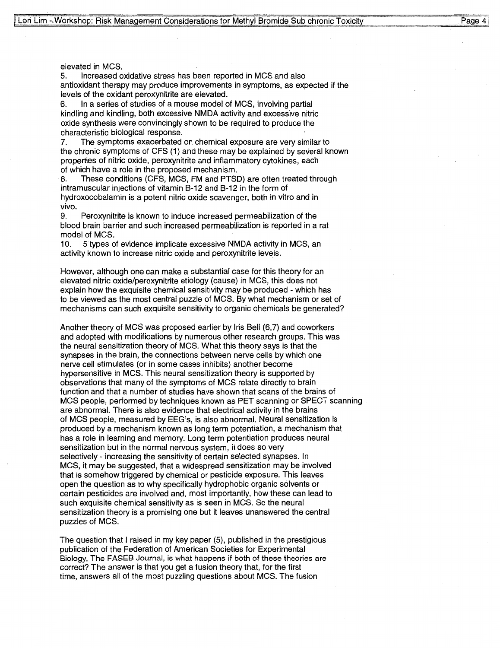elevated in MCS.

5. Increased oxidative stress has been reported in MCS and also antioxidant therapy may produce improvements in symptoms, as expected if the levels of the oxidant peroxynitrite are elevated.

6. In a series of studies of a mouse model of MCS, involving partial kindling and kindling, both excessive NMDA activity and excessive nitric oxide synthesis were convincingly shown to be required to produce the characteristic biological response.

7. The symptoms exacerbated on chemical exposure are very similar to the chronic symptoms of CFS (1) and these may be explained by several known properties of nitric oxide, peroxynitrite and inflammatory cytokines, each of which have a role in the proposed mechanism.

8. These conditions (CFS, MCS, FM and PTSD) are often treated through intramuscular injections of vitamin B-12 and B-12 in the form of hydroxocobalamin is a potent nitric oxide scavenger, both in vitro and in vivo.

9. Peroxynitrite is known to induce increased permeabilization of the blood brain barrier and such increased permeabilization is reported in a rat model of MCS.

1 5 types of evidence implicate excessive NMDA activity in MCS, an activity known to increase nitric oxide and peroxynitrite levels.  $10.$ 

However, although one can make a substantial case for this theory for an elevated nitric oxide/peroxynitrite etiology (cause) in MCS, this does not explain how the exquisite chemical sensitivity may be produced - which has to be viewed as the most central puzzle of MCS. By what mechanism or set of mechanisms can such exquisite sensitivity to organic chemicals be generated?

Another theory of MCS was proposed earlier by Iris Bell (6,7) and coworkers and adopted with modifications by numerous other research groups. This was the neural sensitization theory of MCS. What this theory says is that the synapses in the brain, the connections between nerve cells by which one nerve cell stimulates (or in some cases inhibits) another become hypersensitive in MCS. This neural sensitization theory is supported by observations that many of the symptoms of MCS relate directly to brain function and that a number of studies have shown that scans of the brains of MCS people, performed by techniques known as PET scanning or SPECT scanning are abnormal. There is also evidence that electrical activity in the brains of MCS people, measured by EEG's, is also abnormal. Neural sensitization is produced by a mechanism known as long term potentiation, a mechanism that has a role in learning and memory. Long term potentiation produces neural sensitization but in the normal nervous system, it does so very selectively - increasing the sensitivity of certain selected synapses. In MCS, it may be suggested, that a widespread sensitization may be involved that is somehow triggered by chemical or pesticide exposure. This leaves open the question as to why specifically hydrophobic organic solvents or certain pesticides are involved and, most importantly, how these can lead to such exquisite chemical sensitivity as is seen in MCS. So the neural sensitization theory is a promising one but it leaves unanswered the central puzzles of MCS.

The question that I raised in my key paper (5), published in the prestigious publication of the Federation of American Societies for Experimental Biology, The FASEB Journal, is what happens if both of these theories are correct? The answer is that you get a fusion theory that, for the first time, answers all of the most puzzling questions about MCS. The fusion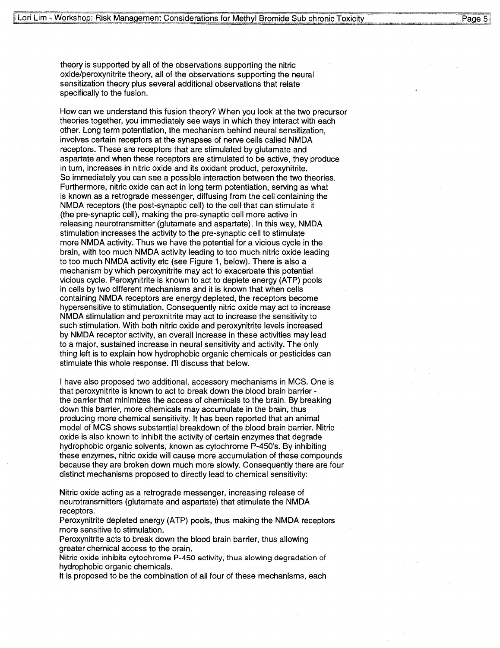theory is supported by all of the observations supporting the nitric oxide/peroxynitrite theory, all of the observations supporting the neural sensitization theory plus several additional observations that relate specifically to the fusion.

How can we understand this fusion theory? When you look at the two precurs or theories together, you immediately see ways in which they interact with each other. Long term potentiation, the mechanism behind neural sensitization, involves certain receptors at the synapses of nerve cells called **NMDA**  receptors. These are receptors that are stimulated by glutamate and aspartate and when these receptors are stimulated to be active, they produce in turn, increases in nitric oxide and its oxidant product, peroxynitrite. So immediately you can see a possible interaction between the two theories. Furthermore, nitric oxide can act in long term potentiation, serving as what is known as a retrograde messenger, diffusing from the cell containing the **NMDA** receptors (the post-synaptic cell) to the cell that can stimulate it (the pre-synaptic cell), making the pre-synaptic cell more active in releasing neurotransmitter (glutamate and aspartate). In this way, NMDA stimulation increases the activity to the pre-synaptic cell to stimulate more NMDA activity. Thus we have the potential for a vicious cycle in the brain, with too much NMDA activity leading to too much nitric oxide leading to too much NMDA activity etc (see Figure 1, below). There is also a mechanism by which peroxynitrite may act to exacerbate this potential vicious cycle. Peroxynitrite is known to act to deplete energy (ATP) pools in cells by two different mechanisms and it is known that when cells containing NMDA receptors are energy depleted, the receptors become hypersensitive to stimulation. Consequently nitric oxide may act to increase **NMDA** stimulation and peroxnitrite may act to increase the sensitivity to such stimulation. With both nitric oxide and peroxynitrite levels increased by **NMDA** receptor activity, an overall increase in these activities may lead to a major, sustained increase in neural sensitivity and activity. The only thing left is to explain how hydrophobic organic chemicals or pesticides can stimulate this whole response. I'll discuss that below.

I have also proposed two additional, accessory mechanisms in MCS. One is that peroxynitrite is known to act to break down the blood brain barrier the barrier that minimizes the access of chemicals to the brain. By breaking down this barrier, more chemicals may accumulate in the brain, thus producing more chemical sensitivity. It has been reported that an animal model of MCS shows substantial breakdown of the blood brain barrier. Nitric oxide is also known to inhibit the activity of certain enzymes that degrade hydrophobic organic solvents, known as cytochrome P-450's. By inhibiting these enzymes, nitric oxide will cause more accumulation of these compounds because they are broken down much more slowly. Consequently there are four distinct mechanisms proposed to directly lead to chemical sensitivity:

Nitric oxide acting as a retrograde messenger, increasing release of neurotransmitters (glutamate and aspartate) that stimulate the **NMDA**  receptors.

Peroxynitrite depleted energy (ATP) pools, thus making the **NMDA** receptors more sensitive to stimulation.

Peroxynitrite acts to break down the blood brain barrier, thus allowing greater chemical access to the brain.

Nitric oxide inhibits cytochrome P-450 activity, thus slowing degradation of hydrophobic organic chemicals.

It is proposed to be the combination of all four of these mechanisms, each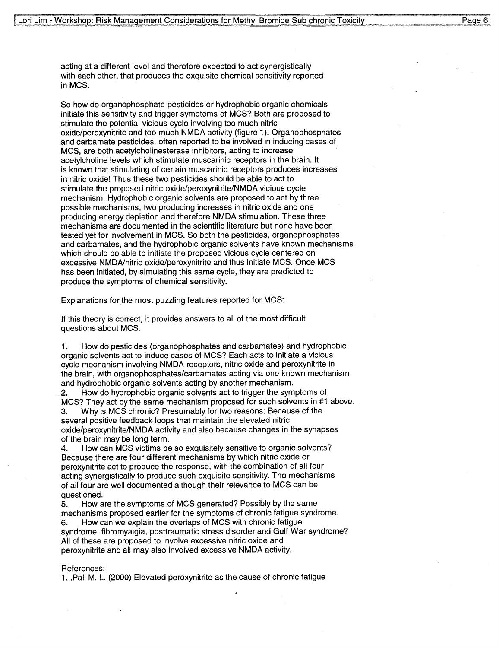acting at a different level and therefore expected to act synergistically with each other, that produces the exquisite chemical sensitivity reported **inMCS.** 

So how do organophosphate pesticides or hydrophobic organic chemicals initiate this sensitivity and trigger symptoms of MCS? Both are proposed to stimulate the potential vicious cycle involving too much nitric oxide/peroxynitrite and too much NMDA activity (figure 1). Organophosphates and carbamate pesticides, often reported to be involved in inducing cases of MCS, are both acetylcholinesterase inhibitors, acting to increase acetylcholine levels which stimulate muscarinic receptors in the brain. It is known that stimulating of certain muscarinic receptors produces increases in nitric oxide! Thus these two pesticides should be able to act to stimulate the proposed nitric oxide/peroxynitrite/NMDA vicious cycle mechanism. Hydrophobic organic solvents are proposed to act by three possible mechanisms, two producing increases in nitric oxide and one producing energy depletion and therefore **NMDA** stimulation. These three mechanisms are documented in the scientific literature but none have been tested yet for involvement in **MCS.** So both the pesticides, organophosphates and carbamates, and the hydrophobic organic solvents have known mechanisms which should be able to initiate the proposed vicious cycle centered on excessive NMDA/nitric oxide/peroxynitrite and thus initiate MCS. Once MCS has been initiated, by simulating this same cycle, they are predicted to produce the symptoms of chemical sensitivity.

Explanations for the most puzzling features reported for MCS:

If this theory is correct, it provides answers to all of the most difficult questions about MCS.

1. How do pesticides (organophosphates and carbamates) and hydrophobic organic solvents act to induce cases of MCS? Each acts to initiate a vicious cycle mechanism involving NMDA receptors, nitric oxide and peroxynitrite in the brain, with organophosphates/carbamates acting via one known mechanism and hydrophobic organic solvents acting by another mechanism.

2. How do hydrophobic organic solvents act to trigger the symptoms of MCS? They act by the same mechanism proposed for such solvents in #1 above.

3. Why is MCS chronic? Presumably for two reasons: Because of the several positive feedback loops that maintain the elevated nitric oxide/peroxynitrite/NMDA activity and also because changes in the synapses of the brain may be long term.

4. How can MCS victims be so exquisitely sensitive to organic solvents? Because there are four different mechanisms by which nitric oxide or peroxynitrite act to produce the response, with the combination of all four acting synergistically to produce such exquisite sensitivity. The mechanisms of all four are well documented although their relevance to MCS can be questioned.

5. How are the symptoms of MCS generated? Possibly by the same mechanisms proposed earlier for the symptoms of chronic fatigue syndrome. 6. How can we explain the overlaps of MCS with chronic fatigue syndrome, fibromyalgia, posttraumatic stress disorder and Gulf War syndrome? All of these are proposed to involve excessive nitric oxide and peroxynitrite and all may also involved excessive NMDA activity.

#### References:

1 .. Pall M. L. (2000) Elevated peroxynitrite as the cause of chronic fatigue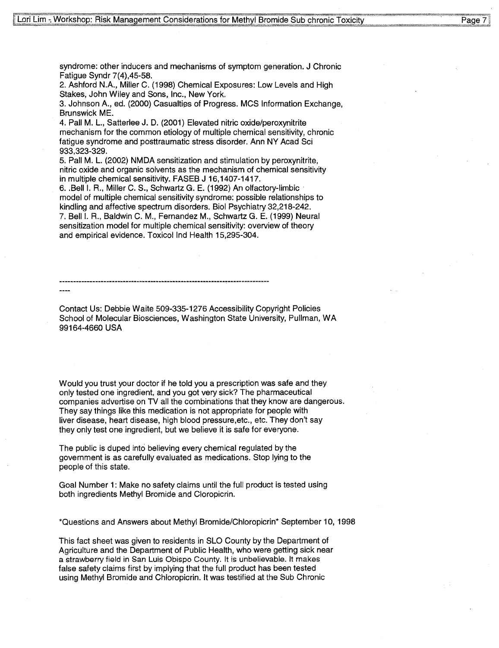syndrome: other inducers and mechanisms of symptom generation. J Chronic Fatigue Syndr 7(4),45-58.

2. Ashford N.A., Miller C. (1998) Chemical Exposures: Low Levels and High Stakes, John Wiley and Sons, Inc., New York.

3. Johnson A., ed. (2000) Casualties of Progress. MCS Information Exchange, Brunswick ME.

4. Pall M. L., Satterlee J. D. (2001) Elevated nitric oxide/peroxynitrite mechanism for the common etiology of multiple chemical sensitivity, chronic fatigue syndrome and posttraumatic stress disorder. Ann NY Acad Sci 933,323-329.

5. Pall M. L. (2002) NMDA sensitization and stimulation by peroxynitrite, nitric oxide and organic solvents as the mechanism of chemical sensitivity in multiple chemical sensitivity. FASEB J 16,1407-1417.

6 .. Bell I. R., Miller C. S., Schwartz G. E. (1992) An olfactory-limbic · model of multiple chemical sensitivity syndrome: possible relationships to kindling and affective spectrum disorders. Biol Psychiatry 32,218-242. 7. Bell I. R., Baldwin C. **M.,** Fernandez **M.,** Schwartz G. E. (1999) Neural sensitization model for multiple chemical sensitivity: overview of theory and empirical evidence. Toxicol Ind Health 15,295-304.

Contact Us: Debbie Waite 509-335-1276 Accessibility Copyright Policies School of Molecular Biosciences, Washington State University, Pullman, WA 99164-4660 USA

Would you trust your doctor if he told you a prescription was safe and they only tested one ingredient, and you got very sick? The pharmaceutical companies advertise on TV all the combinations that they know are dangerous. They say things like this medication is not appropriate for people with liver disease, heart disease, high blood pressure.etc., etc. They don't say they only test one ingredient, but we believe it is safe for everyone.

The public is duped into believing every chemical regulated by the government is as carefully evaluated as medications. Stop lying to the people of this state.

Goal Number 1: Make no safety claims until the full product is tested using both ingredients Methyl Bromide and Cloropicrin.

\*Questions and Answers about Methyl Bromide/Chloropicrin\* September 10, 1998

This fact sheet was given to residents in SLO County by the Department of Agriculture and the Department of Public Health, who were getting sick near a strawberry field in San Luis Obispo County. It is unbelievable. It makes false safety claims first by implying that the full product has been tested using Methyl Bromide and Chloropicrin. It was testified at the Sub Chronic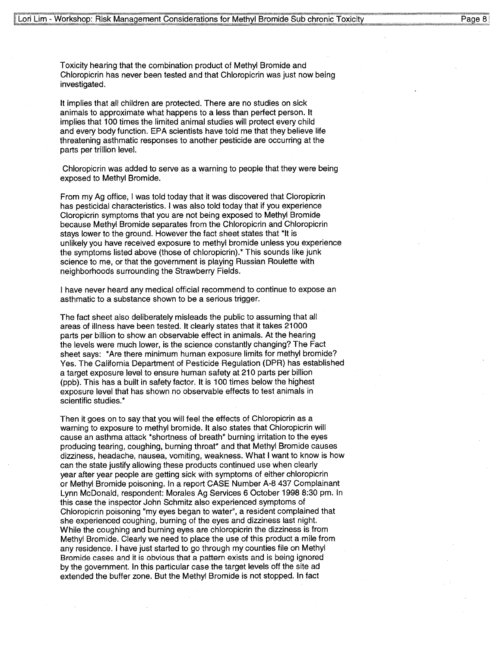Toxicity hearing that the combination product of Methyl Bromide and Chloropicrin has never been tested and that Chloropicrin was just now being investigated.

It implies that all children are protected. There are no studies on sick animals to approximate what happens to a less than perfect person. It implies that 100 times the limited animal studies will protect every child and every body function. EPA scientists have told me that they believe life threatening asthmatic responses to another pesticide are occurring at the parts per trillion level.

Chloropicrin was added to serve as a warning to people that they were being exposed to Methyl Bromide.

From my Ag office, I was told today that it was discovered that Cloropicrin has pesticidal characteristics. I was also told today that if you experience Cloropicrin symptoms that you are not being exposed to Methyl Bromide because Methyl Bromide separates from the Chloropicrin and Chloropicrin stays lower to the ground. However the fact sheet states that \*It is unlikely you have received exposure to methyl bromide unless you experience the symptoms listed above (those of chloropicrin).\* This sounds like junk science to me, or that the government is playing Russian Roulette with neighborhoods surrounding the Strawberry Fields.

I have never heard any medical official recommend to continue to expose an asthmatic to a substance shown to be a serious trigger.

The fact sheet also deliberately misleads the public to assuming that all areas of illness have been tested. It clearly states that it takes 21000 parts per billion to show an observable effect in animals. At the hearing the levels were much lower, is the science constantly changing? The Fact sheet says: \*Are there minimum human exposure limits for methyl bromide? Yes. The California Department of Pesticide Regulation (DPR) has established a target exposure level to ensure human safety at 210 parts per billion (ppb). This has a built in safety factor. It is 100 times below the highest exposure level that has shown no observable effects to test animals in scientific studies.\*

Then it goes on to say that you will feel the effects of Chloropicrin as a warning to exposure to methyl bromide. It also states that Chloropicrin will cause an asthma attack \*shortness of breath\* burning irritation to the eyes producing tearing, coughing, burning throat\* and that Methyl Bromide causes dizziness, headache, nausea, vomiting, weakness. What I want to know is how can the state justify allowing these products continued use when clearly year after year people are getting sick with symptoms of either chloropicrin or Methyl Bromide poisoning. In a report CASE Number A-8 437 Complainant Lynn McDonald, respondent: Morales Ag Services 6 October 1998 8:30 pm. In this case the inspector John Schmitz also experienced symptoms of Chloropicrin poisoning "my eyes began to water", a resident complained that she experienced coughing, burning of the eyes and dizziness last night. While the coughing and burning eyes are chloropicrin the dizziness is from Methyl Bromide. Clearly we need to place the use of this product a mile from any residence. I have just started to go through my counties file on Methyl Bromide cases and it is obvious that a pattern exists and is being ignored by the government. In this particular case the target levels off the site ad extended the buffer zone. But the Methyl Bromide is not stopped. In fact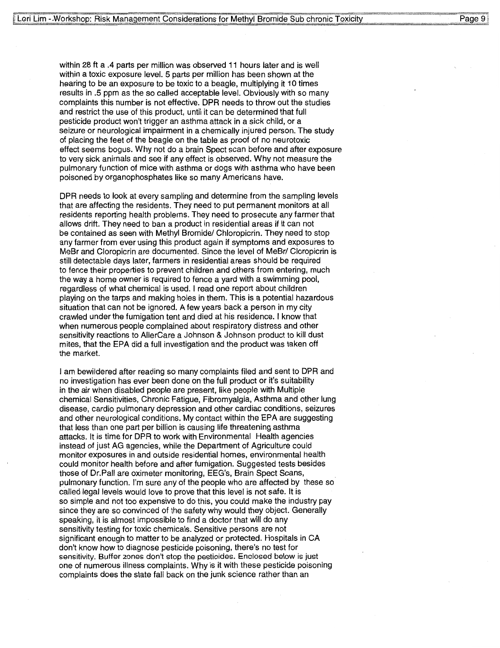within 28 ft a .4 parts per million was observed 11 hours later and is well within a toxic exposure level. 5 parts per million has been shown at the hearing to be an exposure to be toxic to a beagle, multiplying it 10 times results in .5 ppm as the so called acceptable level. Obviously with so many complaints this number is not effective. DPR needs to throw out the studies and restrict the use of this product, until it can be determined that full pesticide product won't trigger an asthma attack in a sick child, or a seizure or neurological impairment in a chemically injured person. The study of placing the feet of the beagle on the table as proof of no neurotoxic effect seems bogus. Why not do a brain Spect scan before and after exposure to very sick animals and see if any effect is observed. Why not measure the pulmonary function of mice with asthma or dogs with asthma who have been poisoned by organophosphates like so many Americans have.

DPR needs to look at every sampling and determine from the sampling levels that are affecting the residents. They need to put permanent monitors at all residents reporting health problems. They need to prosecute any farmer that allows drift. They need to ban a product in residential areas if it can not be contained as seen with Methyl Bromide/ Chloropicrin. They need to stop any farmer from ever using this product again if symptoms and exposures to MeBr and Cloropicrin are documented. Since the level of MeBr/ Cloropicrin is still detectable days later, farmers in residential areas should be required to fence their properties to prevent children and others from entering, much the way a home owner is required to fence a yard with a swimming pool, regardless of what chemical is used. I read one report about children playing on the tarps and making holes in them. This is a potential hazardous situation that can not be ignored. A few years back a person in my city crawled under the fumigation tent and died at his residence. I know that when numerous people complained about respiratory distress and other sensitivity reactions to AllerCare a Johnson & Johnson product to kill dust mites, that the EPA did a full investigation and the product was taken off the market.

I am bewildered after reading so many complaints filed and sent to DPR and no investigation has ever been done on the full product or it's suitability in the air when disabled people are present, like people with Multiple chemical Sensitivities, Chronic Fatigue, Fibromyalgia, Asthma and other lung disease, cardio pulmonary depression and other cardiac conditions, seizures and other neurological conditions. My contact within the EPA are suggesting that less than one part per billion is causing life threatening asthma attacks. It is time for DPR to work with Environmental Health agencies instead of just AG agencies, while the Department of Agriculture could monitor exposures in and outside residential homes, environmental health could monitor health before and after fumigation. Suggested tests besides those of Dr.Pall are oximeter monitoring, EEG's, Brain Spect Scans, pulmonary function. I'm sure any of the people who are affected by these so called legal levels would love to prove that this level is not safe. It is so simple and not too expensive to do this, you could make the industry pay since they are so convinced of the safety why would they object. Generally speaking, it is almost impossible to find a doctor that will do any sensitivity testing for toxic chemicals. Sensitive persons are not significant enough to matter to be analyzed or protected. Hospitals in CA don't know how to diagnose pesticide poisoning, there's no test for sensitivity. Buffer zones don't stop the pesticides. Enclosed below is just one of numerous illness complaints. Why is it with these pesticide poisoning complaints does the state fall back on the junk science rather than an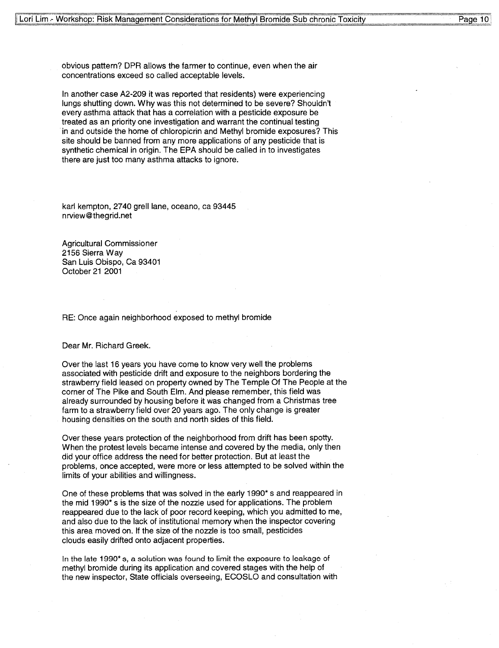obvious pattern? DPR allows the farmer to continue, even when the air concentrations exceed so called acceptable levels.

In another case A2-209 it was reported that residents) were experiencing lungs shutting down. Why was this not determined to be severe? Shouldn't every asthma attack that has a correlation with a pesticide exposure be treated as an priority one investigation and warrant the continual testing in and outside the home of chloropicrin and Methyl bromide exposures? This site should be banned from any more applications of any pesticide that is synthetic chemical in origin. The EPA should be called in to investigates there are just too many asthma attacks to ignore.

karl kempton, 2740 grell lane, oceano, ca 93445 nrview@thegrid.net

Agricultural Commissioner 2156 Sierra Way San Luis Obispo, Ca 93401 October 21 2001

RE: Once again neighborhood exposed to methyl bromide

Dear Mr. Richard Greek.

Over the last 16 years you have come to know very well the problems associated with pesticide drift and exposure to the neighbors bordering the strawberry field leased on property owned by The Tempie Of The People at the corner of The Pike and South Elm. And please remember, this field was already surrounded by housing before it was changed from a Christmas tree farm to a strawberry field over 20 years ago. The only change is greater housing densities on the south and north sides of this field.

Over these years protection of the neighborhood from drift has been spotty. When the protest levels became intense and covered by the media, only then did your office address the need for better protection. But at least the problems, once accepted, were more or less attempted to be solved within the limits of your abilities and willingness.

One of these problems that was solved in the early 1990\* s and reappeared in the mid 1990\* s is the size of the nozzle used for applications. The problem reappeared due to the lack of poor record keeping, which you admitted to me, and also due to the lack of institutional memory when the inspector covering this area moved on. If the size of the nozzle is too small, pesticides clouds easily drifted onto adjacent properties.

In the late 1990\* s, a solution was found to limit the exposure to leakage of methyl bromide during its application and covered stages with the help of the new inspector, State officials overseeing, ECOSLO and consultation with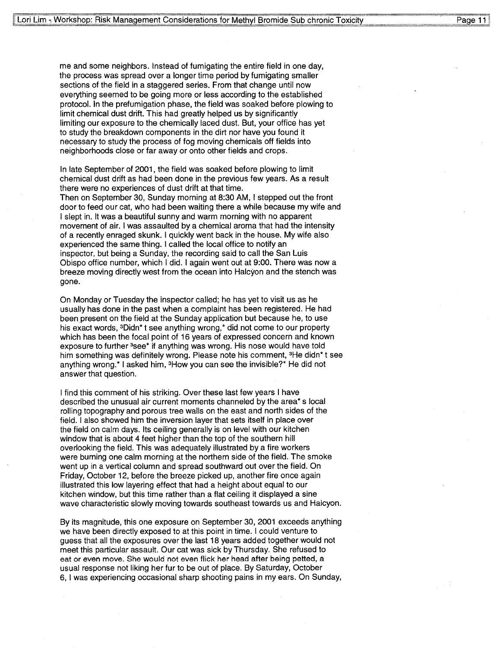me and some neighbors. Instead of fumigating the entire field in one day, the process was spread over a longer time period by fumigating smaller sections of the field in a staggered series. From that change until now everything seemed to be going more or less according to the established protocol. In the prefumigation phase, the field was soaked before plowing to limit chemical dust drift. This had greatly helped us by significantly limiting our exposure to the chemically laced dust. But, your office has yet to study the breakdown components in the dirt nor have you found it necessary to study the process of fog moving chemicals off fields into neighborhoods close or far away or onto other fields and crops.

In late September of 2001, the field was soaked before plowing to limit chemical dust drift as had been done in the previous few years. As a result there were no experiences of dust drift at that time. Then on September 30, Sunday morning at 8:30 AM, I stepped out the front door to feed our cat, who had been waiting there a while because my wife and I slept in. It was a beautiful sunny and warm morning with no apparent movement of air. I was assaulted by a chemical aroma that had the intensity of a recently enraged skunk. I quickly went back in the house. My wife also experienced the same thing. I called the local office to notify an inspector, but being a Sunday, the recording said to call the San Luis Obispo office number, which I did. I again went out at 9:00. There was now a breeze moving directly west from the ocean into Halcyon and the stench was gone.

On Monday or Tuesday the inspector called; he has yet to visit us as he usually has done in the past when a complaint has been registered. He had been present on the field at the Sunday application but because he, to use his exact words, 3Didn\* t see anything wrong,\* did not come to our property which has been the focal point of 16 years of expressed concern and known exposure to further <sup>3</sup>see\* if anything was wrong. His nose would have told him something was definitely wrong. Please note his comment, <sup>3</sup>He didn<sup>\*</sup> t see anything wrong.\* I asked him, 3How you can see the invisible?\* He did not answer that question.

I find this comment of his striking. Over these last few years I have described the unusual air current moments channeled by the area\* s local rolling topography and porous tree walls on the east and north sides of the field. I also showed him the inversion layer that sets itself in place over the field on calm days. Its ceiling generally is on level with our kitchen window that is about 4 feet higher than the top of the southern hill overlooking the field. This was adequately illustrated by a fire workers were burning one calm morning at the northern side of the field. The smoke went up in a vertical column and spread southward out over the field. On Friday, October 12, before the breeze picked up, another fire once again illustrated this low layering effect that had a height about equal to our kitchen window, but this time rather than a flat ceiling it displayed a sine wave characteristic slowly moving towards southeast towards us and Halcyon.

By its magnitude, this one exposure on September 30, 2001 exceeds anything we have been directly exposed to at this point in time. I could venture to guess that all the exposures over the last 18 years added together would not meet this particular assault. Our cat was sick by Thursday. She refused to eat or even move. She would not even flick her head after being petted, a usual response not liking her fur to be out of place. By Saturday, October 6, I was experiencing occasional sharp shooting pains in my ears. On Sunday,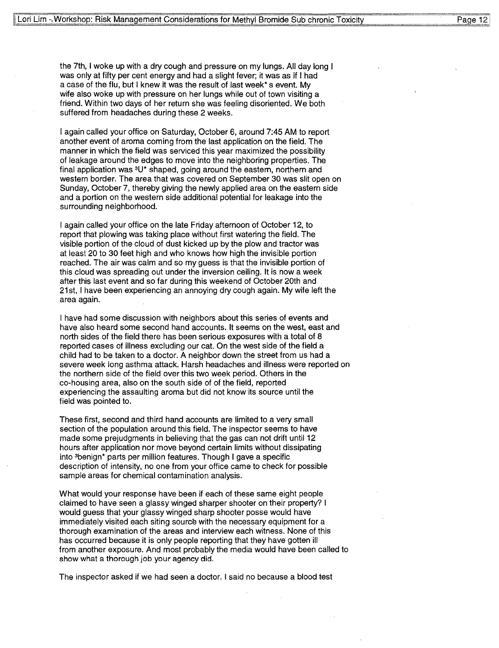the 7th, I woke up with a dry cough and pressure on my lungs. All day long I was only at fifty per cent energy and had a slight fever; it was as if I had a case of the flu, but I knew it was the result of last week\* s event. My wife also woke up with pressure on her lungs while out of town visiting a friend. Within two days of her return she was feeling disoriented. We both suffered from headaches during these 2 weeks.

I again called your office on Saturday, October 6, around 7:45 **AM** to report another event of aroma coming from the last application on the field. The manner in which the field was serviced this year maximized the possibility of leakage around the edges to move into the neighboring properties. The final application was  $3U^*$  shaped, going around the eastern, northern and western border. The area that was covered on September 30 was slit open on Sunday, October 7, thereby giving the newly applied area on the eastern side and a portion on the western side additional potential for leakage into the surrounding neighborhood.

I again called your office on the late Friday afternoon of October 12, to report that plowing was taking place without first watering the field. The visible portion of the cloud of dust kicked up by the plow and tractor was at least 20 to 30 feet high and who knows how high the invisible portion reached. The air was calm and so my guess is that the invisible portion of this cloud was spreading out under the inversion ceiling. It is now a week after this last event and so far during this weekend of October 20th and 21st, I have been experiencing an annoying dry cough again. My wife left the area again.

I have had some discussion with neighbors about this series of events and have also heard some second hand accounts. It seems on the west, east and north sides of the field there has been serious exposures with a total of 8 reported cases of illness excluding our cat. On the west side of the field a child had to be taken to a doctor. A neighbor down the street from us had a severe week long asthma attack. Harsh headaches and illness were reported on the northern side of the field over this two week period. Others in the co-housing area, also on the south side of of the field, reported experiencing the assaulting aroma but did not know its source until the field was pointed to.

These first, second and third hand accounts are limited to a very small section of the population around this field. The inspector seems to have made some prejudgments in believing that the gas can not drift until 12 hours after application nor move beyond certain limits without dissipating into 3benign\* parts per million features. Though I gave a specific description of intensity, no one from your office came to check for possible sample areas for chemical contamination analysis.

What would your response have been if each of these same eight people claimed to have seen a glassy winged sharper shooter on their property? I would guess that your glassy winged sharp shooter posse would have immediately visited each siting source with the necessary equipment for a thorough examination of the areas and interview each witness. None of this has occurred because it is only people reporting that they have gotten ill from another exposure. And most probably the media would have been called to show what a thorough job your agency did.

The inspector asked if we had seen a doctor. I said no because a blood test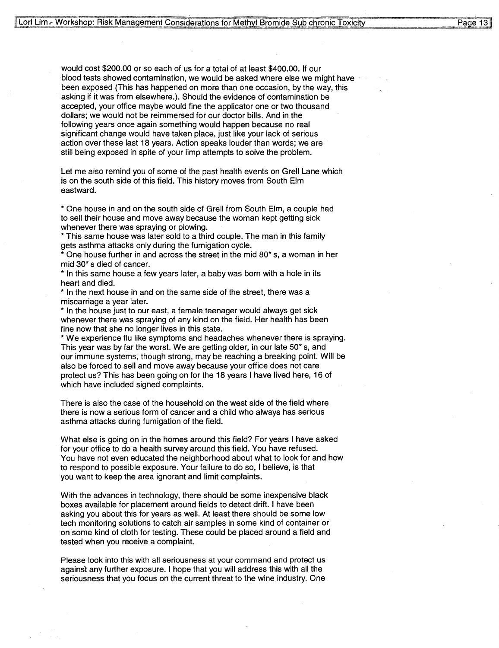would cost \$200.00 or so each of us for a total of at least \$400.00. If our blood tests showed contamination, we would be asked where else we might have been exposed (This has happened on more than one occasion, by the way, this asking if it was from elsewhere.). Should the evidence of contamination be accepted, your office maybe would fine the applicator one or two thousand dollars; we would not be reimmersed for our doctor bills. And in the following years once again something would happen because no real significant change would have taken place, just like your lack of serious action over these last 18 years. Action speaks louder than words; we are still being exposed in spite of your limp attempts to solve the problem.

Let me also remind you of some of the past health events on Grell Lane which is on the south side of this field. This history moves from South Elm eastward.

\* One house in and on the south side of Grell from South Elm, a couple had to sell their house and move away because the woman kept getting sick whenever there was spraying or plowing.

\* This same house was later sold to a third couple. The man in this family gets asthma attacks only during the fumigation cycle.

\* One house further in and across the street in the mid 80\* s, a woman in her mid 30\* s died of cancer.

\* In this same house a few years later, a baby was born with a hole in its heart and died.

\* In the next house in and on the same side of the street, there was a miscarriage a year later.

\* In the house just to our east, a female teenager would always get sick whenever there was spraying of any kind on the field. Her health has been fine now that she no longer lives in this state.

\* We experience flu like symptoms and headaches whenever there is spraying. This year was by far the worst. We are getting older, in our late 50\* s, and our immune systems, though strong, may be reaching a breaking point. Will be also be forced to sell and move away because your office does not care protect us? This has been going on for the 18 years I have lived here, 16 of which have included signed complaints.

There is also the case of the household on the west side of the field where there is now a serious form of cancer and a child who always has serious asthma attacks during fumigation of the field.

What else is going on in the homes around this field? For years I have asked for your office to do a health survey around this field. You have refused. You have not even educated the neighborhood about what to look for and how to respond to possible exposure. Your failure to do so, I believe, is that you want to keep the area ignorant and limit complaints.

With the advances in technology, there should be some inexpensive black boxes available for placement around fields to detect drift. I have been asking you about this for years as well. At least there should be some low tech monitoring solutions to catch air samples in some kind of container or on some kind of cloth for testing. These could be placed around a field and tested when you receive a complaint.

Please look into this with all seriousness at your command and protect us against any further exposure. I hope that you will address this with all the seriousness that you focus on the current threat to the wine industry. One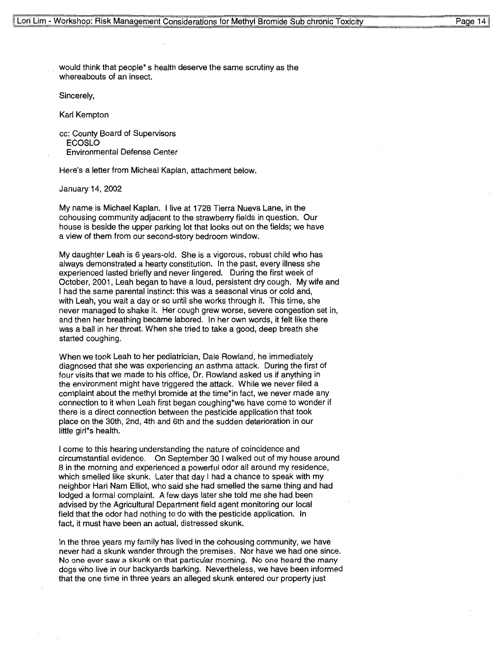$P$ ane 14

would think that people\* s health deserve the same scrutiny as the whereabouts of an insect.

Sincerely,

Karl Kempton

cc: County Board of Supervisors **ECOSLO**  Environmental Defense Center

Here's a letter from Micheal Kaplan, attachment below.

January 14, 2002

My name is Michael Kaplan. I live at 1728 Tierra Nueva Lane, in the cohousing community adjacent to the strawberry fields in question. Our house is beside the upper parking lot that looks out on the fields; we have a view of them from our second-story bedroom window.

My daughter Leah is 6 years-old. She is a vigorous, robust child who has always demonstrated a hearty constitution. In the past, every illness she experienced lasted briefly and never lingered. During the first week of October, 2001, Leah began to have a loud, persistent dry cough. My wife and I had the same parental instinct: this was a seasonal virus or cold and, with Leah, you wait a day or so until she works through it. This time, she never managed to shake it. Her cough grew worse, severe congestion set in, and then her breathing became labored. In her own words, it felt like there was a ball in her throat. When she tried to take a good, deep breath she started coughing.

When we took Leah to her pediatrician, Dale Rowland, he immediately diagnosed that she was experiencing an asthma attack. During the first of four visits that we made to his office, Dr. Rowland asked us if anything in the environment might have triggered the attack. While we never filed a complaint about the methyl bromide at the time\*in fact, we never made any connection to it when Leah first began coughing\*we have come to wonder if there is a direct connection between the pesticide application that took place on the 30th, 2nd, 4th and 6th and the sudden deterioration in our little girl\*s health.

I come to this hearing understanding the nature of coincidence and circumstantial evidence. On September 30 I walked out of my house around 8 in the morning and experienced a powerful odor all around my residence, which smelled like skunk. Later that day I had a chance to speak with my neighbor Hari Nam Elliot, who said she had smelled the same thing and had lodged a formal complaint. A few days later she told me she had been advised by the Agricultural Department field agent monitoring our local field that the odor had nothing to do with the pesticide application. In fact, it must have been an actual, distressed skunk.

In the three years my family has lived in the cohousing community, we have never had a skunk wander through the premises. Nor have we had one since. No one ever saw a skunk on that particular morning. No one heard the many dogs who live in our backyards barking. Nevertheless, we have been informed that the one time in three years an alleged skunk entered our property just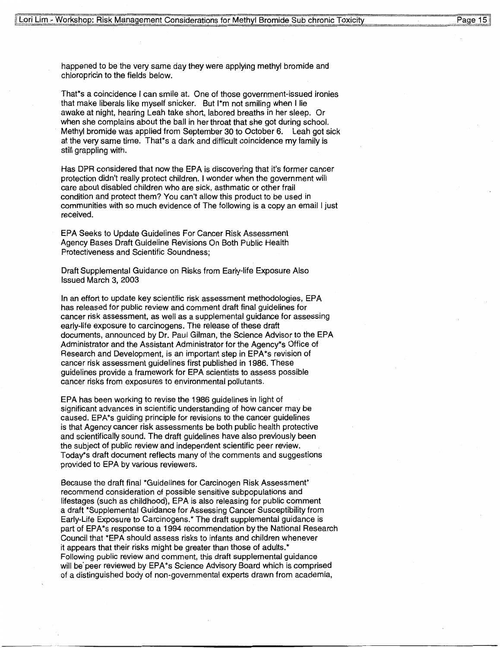Page 15

happened to be the very same day they were applying methyl bromide and chloropricin to the fields below.

That\*s a coincidence I can smile at. One of those government-issued ironies that make liberals like myself snicker. But l\*m not smiling when I lie awake at night, hearing Leah take short, labored breaths in her sleep. Or when she complains about the ball in her throat that she got during school. Methyl bromide was applied from September 30 to October 6. Leah got sick at the very same time. That\*s a dark and difficult coincidence my family is still grappling with.

Has DPR considered that now the EPA is discovering that it's former cancer protection didn't really protect children. I wonder when the government will care about disabled children who are sick, asthmatic or other frail condition and protect them? You can't allow this product to be used in communities with so much evidence of The following is a copy an email I just received.

EPA Seeks to Update Guidelines For Cancer Risk Assessment Agency Bases Draft Guideline Revisions On Both Public Health Protectiveness and Scientific Soundness;

Draft Supplemental Guidance on Risks from Early-life Exposure Also Issued March 3, 2003

In an effort to update key scientific risk assessment methodologies, EPA has released for public review and comment draft final guidelines for cancer risk assessment, as well as a supplemental guidance for assessing early-life exposure to carcinogens. The release of these draft documents, announced by Dr. Paul Gilman, the Science Advisor to the EPA Administrator and the Assistant Administrator for the Agency\*s Office of Research and Development, is an important step in EPA\*s revision of cancer risk assessment guidelines first published in 1986. These guidelines provide a framework for EPA scientists to assess possible cancer risks from exposures to environmental pollutants.

EPA has been working to revise the 1986 guidelines in light of significant advances in scientific understanding of how cancer may be caused. EPA\*s guiding principle for revisions to the cancer guidelines is that Agency cancer risk assessments be both public health protective and scientifically sound. The draft guidelines have also previously been the subject of public review and independent scientific peer review. Today\*s draft document reflects many of the comments and suggestions provided to EPA by various reviewers.

Because the draft final \*Guidelines for Carcinogen Risk Assessment\* recommend consideration of possible sensitive subpopulations and lifestages (such as childhood), EPA is also releasing for public comment a draft \*Supplemental Guidance for Assessing Cancer Susceptibility from Early-Life Exposure to Carcinogens.\* The draft supplemental guidance is part of EPA\*s response to a 1994 recommendation by the National Research Council that \*EPA should assess risks to infants and children whenever it appears that their risks might be greater than those of adults.\* Following public review and comment, this draft supplemental guidance will be'peer reviewed by EPA\*s Science Advisory Board which is comprised of a distinguished body of non-governmental experts drawn from academia,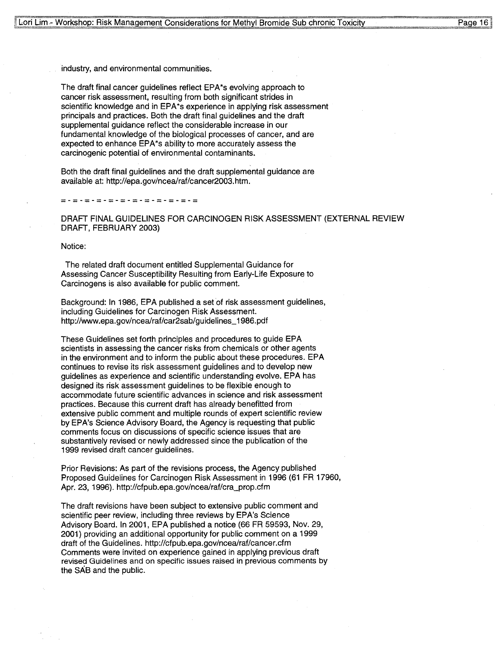Page 16

industry, and environmental communities.

The draft final cancer guidelines reflect EPA\*s evolving approach to cancer risk assessment, resulting from both significant strides in scientific knowledge and in EPA\*s experience in applying risk assessment principals and practices. Both the draft final guidelines and the draft supplemental guidance reflect the considerable increase in our fundamental knowledge of the biological processes of cancer, and are expected to enhance EPA\*s ability to more accurately assess the carcinogenic potential of environmental contaminants.

Both the draft final guidelines and the draft supplemental guidance are available at: http://epa.gov/ncea/raf/cancer2003.htm.

=-=-=-=-=-=-=-=-=-=-=-=-

DRAFT FINAL GUIDELINES FOR CARCINOGEN RISK ASSESSMENT (EXTERNAL REVIEW **DRAFT, FEBRUARY 2003)** 

Notice:

The related draft document entitled Supplemental Guidance for Assessing Cancer Susceptibility Resulting from Early-Life Exposure to Carcinogens is also available for public comment.

Background: In 1986, EPA published a set of risk assessment guidelines, including Guidelines for Carcinogen Risk Assessment. http://www.epa.gov/ncea/raf/car2sab/guidelines\_ 1986.pdf

These Guidelines set forth principles and procedures to guide **EPA**  scientists in assessing the cancer risks from chemicals or other agents in the environment and to inform the public about these procedures. EPA continues to revise its risk assessment guidelines and to develop new guidelines as experience and scientific understanding evolve. EPA has designed its risk assessment guidelines to be flexible enough to accommodate future scientific advances in science and risk assessment practices. Because this current draft has already benefitted from extensive public comment and multiple rounds of expert scientific review by EPA's Science Advisory Board, the Agency is requesting that public comments focus on discussions of specific science issues that are substantively revised or newly addressed since the publication of the 1999 revised draft cancer guidelines.

Prior Revisions: As part of the revisions process, the Agency published Proposed Guidelines for Carcinogen Risk Assessment in 1996 (61 FR 17960, Apr. 23, 1996). http://cfpub.epa.gov/ncea/raf/cra\_prop.cfm

The draft revisions have been subject to extensive public comment and scientific peer review, including three reviews by EPA's Science Advisory Board. In 2001, EPA published a notice (66 FR 59593, Nov. 29, 2001) providing an additional opportunity for public comment on a 1999 draft of the Guidelines. http://cfpub.epa.gov/ncea/raf/cancer.cfm Comments were invited on experience gained in applying previous draft revised Guidelines and on specific issues raised in previous comments by the SAB and the public.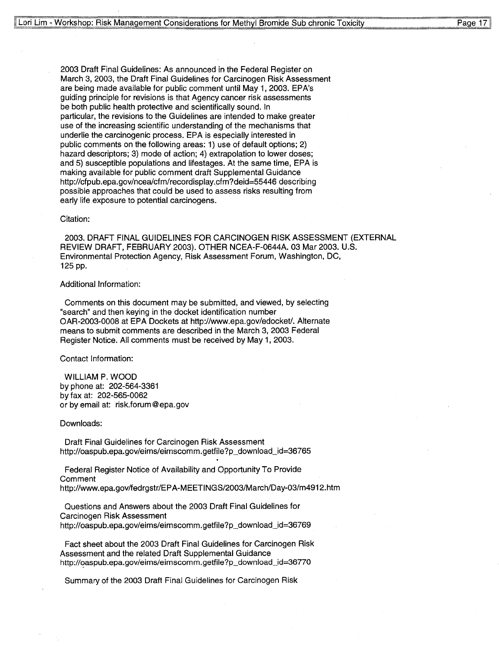2003 Draft Final Guidelines: As announced in the Federal Register on March 3, 2003, the Draft Final Guidelines for Carcinogen Risk Assessment are being made available for public comment until May 1, 2003. EPA's guiding principle for revisions is that Agency cancer risk assessments be both public health protective and scientifically sound. In particular, the revisions to the Guidelines are intended to make greater use of the increasing scientific understanding of the mechanisms that underlie the carcinogenic process. EPA is especially interested in public comments on the following areas: 1) use of default options; 2) hazard descriptors; 3) mode of action; 4) extrapolation to lower doses; and 5) susceptible populations and lifestages. At the same time, EPA is making available for public comment draft Supplemental Guidance http://cfpub.epa.gov/ncea/cfm/recordisplay.cfm?deid=55446 describing possible approaches that could be used to assess risks resulting from early life exposure to potential carcinogens.

#### Citation:

2003. DRAFT FINAL GUIDELINES FOR CARCINOGEN RISK ASSESSMENT (EXTERNAL REVIEW DRAFT, FEBRUARY 2003). OTHER NCEA-F-0644A. 03 Mar 2003. U.S. Environmental Protection Agency, Risk Assessment Forum, Washington, DC, 125 pp.

#### Additional Information:

Comments on this document may be submitted, and viewed, by selecting "search" and then keying in the docket identification number OAR-2003-0008 at EPA Dockets at http://www.epa.gov/edocket/. Alternate means to submit comments are described in the March 3, 2003 Federal Register Notice. All comments must be received by May 1, 2003.

Contact Information:

WILLIAM P. WOOD by phone at: 202-564-3361 by fax at: 202-565-0062 or by email at: risk.forum@epa.gov

Downloads:

Draft Final Guidelines for Carcinogen Risk Assessment http://oaspub.epa.gov/eims/eimscomm.getfile?p\_download\_id=36765

Federal Register Notice of Availability and Opportunity To Provide Comment http://www.epa.gov/fedrgstr/EPA-MEETI NGS/2003/March/Day-03/m4912. htm

Questions and Answers about the 2003 Draft Final Guidelines for Carcinogen Risk Assessment http://oaspub.epa.gov/eims/eimscomm.getfile?p\_download\_id=36769

Fact sheet about the 2003 Draft Final Guidelines for Carcinogen Risk Assessment and the related Draft Supplemental Guidance http://oaspub.epa.gov/eims/eimscomm.getfile?p\_download\_id=36770

Summary of the 2003 Draft Final Guidelines for Carcinogen Risk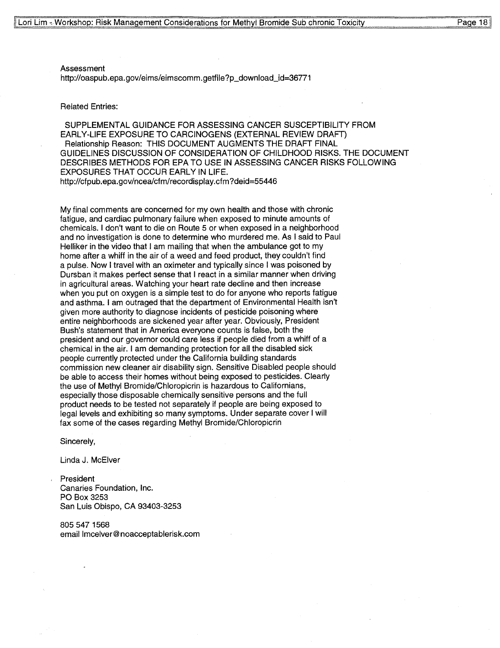Assessment http://oaspub.epa.gov/eims/eimscomm.getfile?p\_download\_id=36771

#### Related Entries:

SUPPLEMENTAL GUIDANCE FOR ASSESSING CANCER SUSCEPTIBILITY FROM EARLY-LIFE EXPOSURE TO CARCINOGENS (EXTERNAL REVIEW DRAFT) Relationship Reason: THIS DOCUMENT AUGMENTS THE DRAFT FINAL GUIDELINES DISCUSSION OF CONSIDERATION OF CHILDHOOD RISKS. THE DOCUMENT DESCRIBES METHODS FOR EPA TO USE IN ASSESSING CANCER RISKS FOLLOWING EXPOSURES THAT OCCUR EARLY IN LIFE. http://cfpub.epa.gov/ncea/cfm/recordisplay.cfm?deid=55446

My final comments are concerned for my own health and those with chronic fatigue, and cardiac pulmonary failure when exposed to minute amounts of chemicals. I don't want to die on Route 5 or when exposed in a neighborhood and no investigation is done to determine who murdered me. As I said to Paul Helliker in the video that I am mailing that when the ambulance got to my home after a whiff in the air of a weed and feed product, they couldn't find a pulse. Now I travel with an oximeter and typically since I was poisoned by Dursban it makes perfect sense that I react in a similar manner when driving in agricultural areas. Watching your heart rate decline and then increase when you put on oxygen is a simple test to do for anyone who reports fatigue and asthma. I am outraged that the department of Environmental Health isn't given more authority to diagnose incidents of pesticide poisoning where entire neighborhoods are sickened year after year. Obviously, President Bush's statement that in America everyone counts is false, both the president and our governor could care less if people died from a whiff of a chemical in the air. I am demanding protection for all the disabled sick people currently protected under the California building standards commission new cleaner air disability sign. Sensitive Disabled people should be able to access their homes without being exposed to pesticides. Clearly the use of Methyl Bromide/Chloropicrin is hazardous to Californians, especially those disposable chemically sensitive persons and the full product needs to be tested not separately if people are being exposed to legal levels and exhibiting so many symptoms. Under separate cover I will fax some of the cases regarding Methyl Bromide/Chloropicrin

Sincerely,

Linda J. McElver

President Canaries Foundation, Inc. PO Box 3253 San Luis Obispo, CA 93403-3253

805 547 1568 email lmcelver@noacceptablerisk.com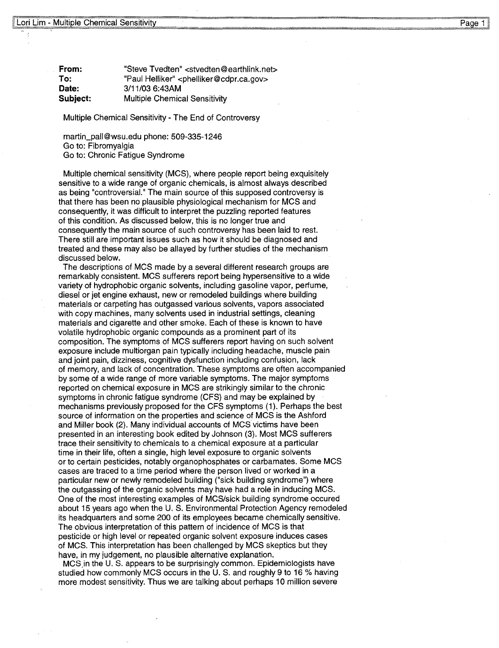**From: To: Date: Subject:**  "Steve Tvedten" <stvedten@earthlink.net> "Paul Helliker" <phelliker@cdpr.ca.gov> 3/11/03 6:43AM Multiple Chemical Sensitivity

Multiple Chemical Sensitivity - The End of Controversy

martin\_pall@wsu.edu phone: 509-335-1246 Go to: Fibromyalgia Go to: Chronic Fatigue Syndrome

Multiple chemical sensitivity (MCS), where people report being exquisitely sensitive to a wide range of organic chemicals, is almost always described as being "controversial." The main source of this supposed controversy is that there has been no plausible physiological mechanism for MCS and consequently, it was difficult to interpret the puzzling reported features of this condition. As discussed below, this is no longer true and consequently the main source of such controversy has been laid to rest. There still are important issues such as how it should be diagnosed and treated and these may also be allayed by further studies of the mechanism discussed below.

The descriptions of MCS made by a several different research groups are remarkably consistent. MCS sufferers report being hypersensitive to a wide variety of hydrophobic organic solvents, including gasoline vapor, perfume, diesel or jet engine exhaust, new or remodeled buildings where building materials or carpeting has outgassed various solvents, vapors associated with copy machines, many solvents used in industrial settings, cleaning materials and cigarette and other smoke. Each of these is known to have volatile hydrophobic organic compounds as a prominent part of its composition. The symptoms of **MCS** sufferers report having on such solvent exposure include multiorgan pain typically including headache, muscle pain and joint pain, dizziness, cognitive dysfunction including confusion, lack of memory, and lack of concentration. These symptoms are often accompanied by some of a wide range of more variable symptoms. The major symptoms reported on chemical exposure in MCS are strikingly similar to the chronic symptoms in chronic fatigue syndrome (CFS) and may be explained by mechanisms previously proposed for the CFS symptoms (1 ). Perhaps the best source of information on the properties and science of MCS is the Ashford and Miller book (2). Many individual accounts of MCS victims have been presented in an interesting book edited by Johnson (3). Most MCS sufferers trace their sensitivity to chemicals to a chemical exposure at a particular time in their life, often a single, high level exposure to organic solvents or to certain pesticides, notably organophosphates or carbamates. Some MCS cases are traced to a time period where the person lived or worked in a particular new or newly remodeled building ("sick building syndrome") where the outgassing of the organic solvents may have had a role in inducing MCS. One of the most interesting examples of MCS/sick building syndrome occured about 15 years ago when the U. S. Environmental Protection Agency remodeled its headquarters and some 200 of its employees became chemically sensitive. The obvious interpretation of this pattern of incidence of MCS is that pesticide or high level or repeated organic solvent exposure induces cases of MCS. This interpretation has been challenged by MCS skeptics but they have, in my judgement, no plausible alternative explanation.

MCS.in the U.S. appears to be surprisingly common. Epidemiologists have studied how commonly MCS occurs in the U. S. and roughly 9 to 16 % having more modest sensitivity. Thus we are talking about perhaps 10 million severe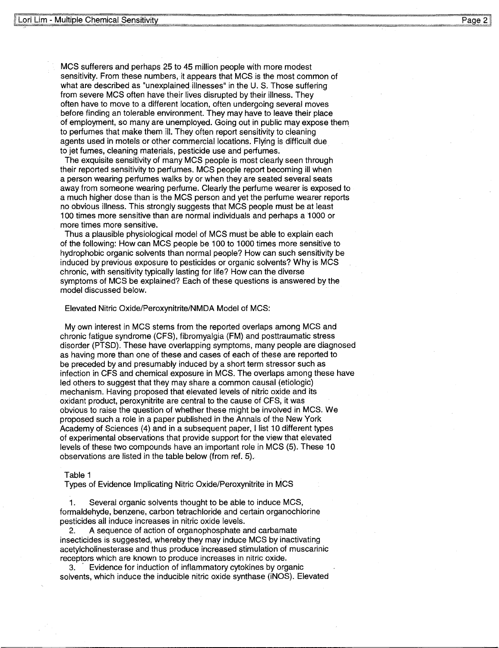MCS sufferers and perhaps 25 to 45 million people with more modest sensitivity. From these numbers, it appears that MCS is the most common of what are described as "unexplained illnesses" in the U.S. Those suffering from severe MCS often have their lives disrupted by their illness. They often have to move to a different location, often undergoing several moves before finding an tolerable environment. They may have to leave their place of employment, so many are unemployed. Going out in public may expose them\_ to perfumes that make them ill. They often report sensitivity to cleaning agents used in motels or other commercial locations. Flying is difficult due to jet fumes, cleaning materials, pesticide use and perfumes.

The exquisite sensitivity of many MCS people is most clearly seen through their reported sensitivity to perfumes. MCS people report becoming ill when a person wearing perfumes walks by or when they are seated several seats away from someone wearing perfume. Clearly the perfume wearer is exposed to a much higher dose than is the MCS person and yet the perfume wearer reports no obvious illness. This strongly suggests that MCS people must be at least 100 times more sensitive than are normal individuals and perhaps a 1000 or more times more sensitive.

Thus a plausible physiological model of MCS must be able to explain each of the following: How can MCS people be 100 to 1000 times more sensitive to hydrophobic organic solvents than normal people? How can such sensitivity be induced by previous exposure to pesticides or organic solvents? Why is MCS chronic, with sensitivity typically lasting for life? How can the diverse symptoms of MCS be explained? Each of these questions is answered by the model discussed below.

#### Elevated Nitric Oxide/Peroxynitrite/NMDA Model of MCS:

My own interest in MCS stems from the reported overlaps among MCS and chronic fatigue syndrome (CFS), fibromyalgia (FM) and posttraumatic stress disorder (PTSD). These have overlapping symptoms, many people are diagnosed as having more than one of these and cases of each of these are reported to be preceded by and presumably induced by a short term stressor such as infection in CFS and chemical exposure in MCS. The overlaps among these have led others to suggest that they may share a common causal (etiologic) mechanism. Having proposed that elevated levels of nitric oxide and its oxidant product, peroxynitrite are central to the cause of CFS, it was obvious to raise the question of whether these might be involved in MCS. We proposed such a role in a paper published in the Annals of the New York Academy of Sciences (4) and in a subsequent paper, I list 10 different types of experimental observations that provide support for the view that elevated levels of these two compounds have an important role in MCS (5). These 10 observations are listed in the table below (from ref. 5).

#### Table 1

Types of Evidence Implicating Nitric Oxide/Peroxynitrite in MCS

1. Several organic solvents thought to be able to induce MCS, formaldehyde, benzene, carbon tetrachloride and certain organochlorine pesticides all induce increases in nitric oxide levels.

2. A sequence of action of organophosphate and carbamate insecticides is suggested, whereby they may induce MCS by inactivating acetylcholinesterase and thus produce increased stimulation of muscarinic receptors which are known to produce increases in nitric oxide.

Evidence for induction of inflammatory cytokines by organic solvents, which induce the inducible nitric oxide synthase (iNOS). Elevated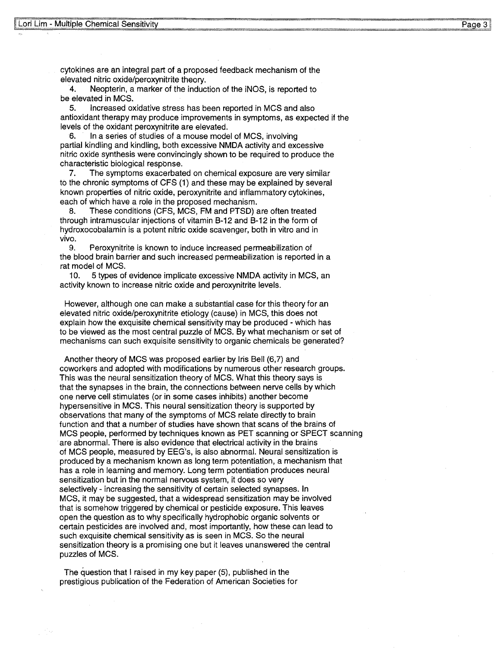cytokines are an integral part of a proposed feedback mechanism of th e elevated nitric oxide/peroxynitrite theory.

4. Neopterin, a marker of the induction of the iNOS, is reported to be elevated in MCS.

5. Increased oxidative stress has been reported in MCS and also antioxidant therapy may produce improvements in symptoms, as expected if the levels of the oxidant peroxynitrite are elevated.

6. In a series of studies of a mouse model of MCS, involving partial kindling and kindling, both excessive NMDA activity and excessive nitric oxide synthesis were convincingly shown to be required to produce the characteristic biological response.

7. The symptoms exacerbated on chemical exposure are very similar to the chronic symptoms of CFS (1) and these may be explained by several known properties of nitric oxide, peroxynitrite and inflammatory cytokines, each of which have a role in the proposed mechanism.

8. These conditions (CFS, MCS, FM and PTSD) are often treated through intramuscular injections of vitamin B-12 and 8-12 in the form of hydroxocobalamin is a potent nitric oxide scavenger, both in vitro and in **vivo.** 

9. Peroxynitrite is known to induce increased permeabilization of the blood brain barrier and such increased permeabilization is reported in a rat model of MCS.

10. 5 types of evidence implicate excessive NMDA activity in MCS, an activity known to increase nitric oxide and peroxynitrite levels.

However, although one can make a substantial case for this theory for an elevated nitric oxide/peroxynitrite etiology (cause) in MCS, this does not explain how the exquisite chemical sensitivity may be produced - which has to be viewed as the most central puzzle of MCS. By what mechanism or set of mechanisms can such exquisite sensitivity to organic chemicals be generated?

Another theory of MCS was proposed earlier by Iris Bell (6,7) and coworkers and adopted with modifications by numerous other research groups. This was the neural sensitization theory of MCS. What this theory says is that the synapses in the brain, the connections between nerve cells by which one nerve cell stimulates (or in some cases inhibits) another become hypersensitive in MCS. This neural sensitization theory is supported by observations that many of the symptoms of MCS relate directly to brain function and that a number of studies have shown that scans of the brains of MCS people, performed by techniques known as PET scanning or SPECT scanning are abnormal. There is also evidence that electrical activity in the brains of MCS people, measured by EEG''s, is also abnormal. Neural sensitization is produced by a mechanism known as long term potentiation, a mechanism that has a role in learning and memory. Long term potentiation produces neural sensitization but in the normal nervous system, it does so very selectively - increasing the sensitivity of certain selected synapses. In **MCS,** it may be suggested, that a widespread sensitization may be involved that is somehow triggered by chemical or pesticide exposure. This leaves open the question as to why specifically hydrophobic organic solvents or certain pesticides are involved ahd, most importantly, how these can lead to such exquisite chemical sensitivity as is seen in MCS. So the neural sensitization theory is a promising one but it leaves unanswered the central puzzles of MCS.

The question that I raised in my key paper (5), published in the prestigious publication of the Federation of American Societies for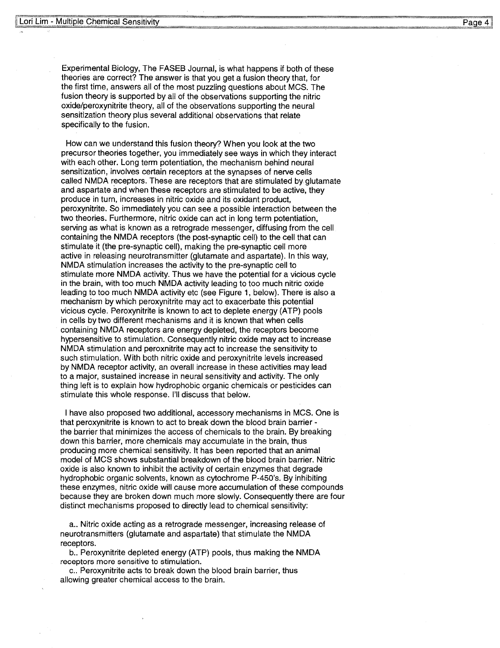Experimental Biology, The FASEB Journal, is what happens if both of these theories are correct? The answer is that you get a fusion theory that, for the first time, answers all of the most puzzling questions about **MCS.** The fusion theory is supported by all of the observations supporting the nitric oxide/peroxynitrite theory, all of the observations supporting the neural sensitization theory plus several additional observations that relate specifically to the fusion.

How can we understand this fusion theory? When you look at the two precursor theories together, you immediately see ways in which they interact with each other. Long term potentiation, the mechanism behind neural sensitization, involves certain receptors at the synapses of nerve cells called **NMDA** receptors. These are receptors that are stimulated by glutamate and aspartate and when these receptors are stimulated to be active, they produce in turn, increases in nitric oxide and its oxidant product, peroxynitrite. So immediately you can see a possible interaction between the two theories. Furthermore, nitric oxide can act in long term potentiation, serving as what is known as a retrograde messenger, diffusing from the cell containing the **NMDA** receptors (the post-synaptic cell) to the cell that can stimulate it (the pre-synaptic cell), making the pre-synaptic cell more active in releasing neurotransmitter (glutamate and aspartate). In this way, NMDA stimulation increases the activity to the pre-synaptic cell to stimulate more NMDA activity. Thus we have the potential for a vicious cycle in the brain, with too much **NMDA** activity leading to too much nitric oxide leading to too much **NMDA** activity etc (see Figure 1, below). There is also a mechanism by which peroxynitrite may act to exacerbate this potential vicious cycle. Peroxynitrite is known to act to deplete energy (ATP) pools in cells by two different mechanisms and it is known that when cells containing NMDA receptors are energy depleted, the receptors become hypersensitive to stimulation. Consequently nitric oxide may act to increase NMDA stimulation and peroxnitrite may act to increase the sensitivity to such stimulation. With both nitric oxide and peroxynitrite levels increased by NMDA receptor activity, an overall increase in these activities may lead to a major, sustained increase in neural sensitivity and activity. The only thing left is to explain how hydrophobic organic chemicals or pesticides can stimulate this whole response. I'll discuss that below.

I have also proposed two additional, accessory mechanisms in MCS. One is that peroxynitrite is known to act to break down the blood brain barrier the barrier that minimizes the access of chemicals to the brain. By breaking down this barrier, more chemicals may accumulate in the brain, thus producing more chemical sensitivity. It has been reported that an animal model of MCS shows substantial breakdown of the blood brain barrier. Nitric oxide is also known to inhibit the activity of certain enzymes that degrade hydrophobic organic solvents, known as cytochrome P-450's. By inhibiting these enzymes, nitric oxide will cause more accumulation of these compounds because they are broken down much more slowly. Consequently there are four distinct mechanisms proposed to directly lead to chemical sensitivity:

a.. Nitric oxide acting as a retrograde messenger, increasing release of neurotransmitters (glutamate and aspartate) that stimulate the **NMDA**  receptors.

b .. Peroxynitrite depleted energy (ATP) pools, thus making the **NMDA**  receptors more sensitive to stimulation.

c.. Peroxynitrite acts to break down the blood brain barrier, thus allowing greater chemical access to the brain.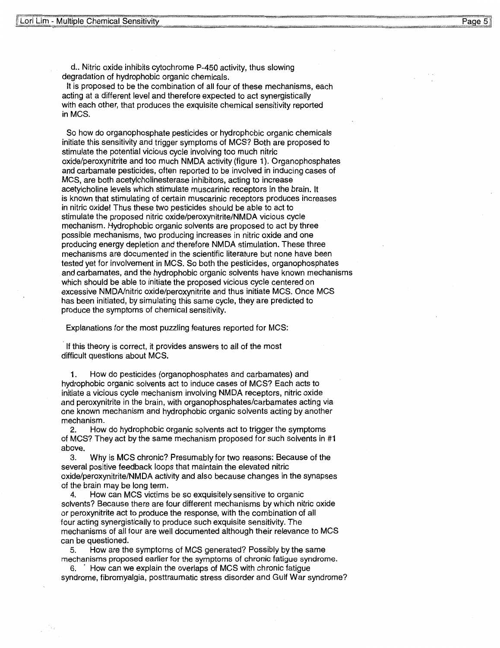d.. Nitric oxide inhibits cytochrome P-450 activity, thus slowing degradation of hydrophobic organic chemicals.

It is proposed to be the combination of all four of these mechanisms, each acting at a different level and therefore expected to act synergistically with each other, that produces the exquisite chemical sensitivity reported **inMCS.** 

So how do organophosphate pesticides or hydrophobic organic chemicals initiate this sensitivity and trigger symptoms of MCS? Both are proposed to stimulate the potential vicious cycle involving too much nitric oxide/peroxynitrite and too much **NMDA** activity (figure 1 ). Organophosphates and carbamate pesticides, often reported to be involved in inducing cases of **MCS,** are both acetylcholinesterase inhibitors, acting to increase acetylcholine levels which stimulate muscarinic receptors in the brain. It is known that stimulating of certain muscarinic receptors produces increases in nitric oxide! Thus these two pesticides should be able to act to stimulate the proposed nitric oxide/peroxynitrite/NMDA vicious cycle mechanism. Hydrophobic organic solvents are proposed to act by three possible mechanisms, two producing increases in nitric oxide and one producing energy depletion and therefore NMDA stimulation. These three mechanisms are documented in the scientific literature but none have been tested yet for involvement in MCS. So both the pesticides, organophosphates and carbamates, and the hydrophobic organic solvents have known mechanisms which should be able to initiate the proposed vicious cycle centered on excessive NMDA/nitric oxide/peroxynitrite and thus initiate MCS. Once MCS has been initiated, by simulating this same cycle, they are predicted to produce the symptoms of chemical sensitivity.

Explanations for the most puzzling features reported for MCS:

If this theory is correct, it provides answers to all of the most difficult questions about MCS.

1. How do pesticides (organophosphates and carbamates) and hydrophobic organic solvents act to induce cases of MCS? Each acts to initiate a vicious cycle mechanism involving **NMDA** receptors, nitric oxide and peroxynitrite in the brain, with organophosphates/carbamates acting via one known mechanism and hydrophobic organic solvents acting by another mechanism.

2. How do hydrophobic organic solvents act to trigger the symptoms of MCS? They act by the same mechanism proposed for such solvents in #1 above.

3. Why is **MCS** chronic? Presumably for two reasons: Because of the several positive feedback loops that maintain the elevated nitric oxide/peroxynitrite/NMDA activity and also because changes in the synapses of the brain may be long term.

4. How can MCS victims be so exquisitely sensitive to organic solvents? Because there are four different mechanisms by which nitric oxide or peroxynitrite act to produce the response, with the combination of all four acting synergistically to produce such exquisite sensitivity. The mechanisms of all four are well documented although their relevance to MCS can be questioned.

5. How are the symptoms of MCS generated? Possibly by the same mechanisms proposed earlier for the symptoms of chronic fatigue syndrome.

How can we explain the overlaps of MCS with chronic fatigue syndrome, fibromyalgia, posttraumatic stress disorder and Gulf War syndrome?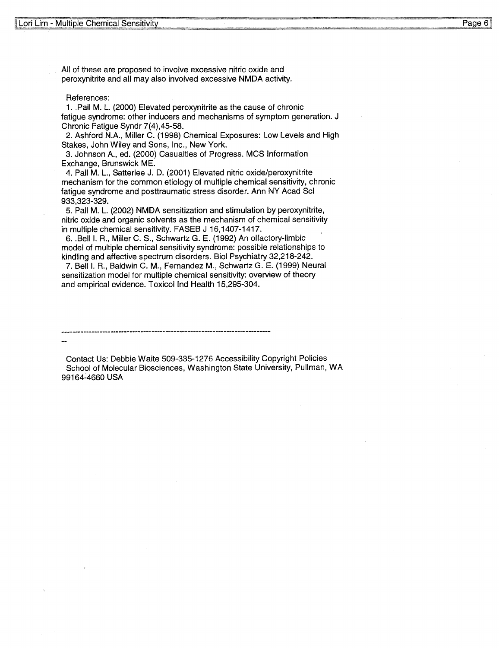All of these are proposed to involve excessive nitric oxide and peroxynitrite and all may also involved excessive **NMDA** activity.

#### References:

1 .. Pall M. L. (2000) Elevated peroxynitrite as the cause of chronic fatigue syndrome: other inducers and mechanisms of symptom generation. J Chronic Fatigue Syndr 7(4),45-58.

2. Ashford N.A., Miller C. (1998) Chemical Exposures: Low Levels and High Stakes, John Wiley and Sons, Inc., New York.

3. Johnson A., ed. (2000) Casualties of Progress. MCS Information Exchange, Brunswick ME.

4. Pall M. L., Satterlee J. D. (2001) Elevated nitric oxide/peroxynitrite mechanism for the common etiology of multiple chemical sensitivity, chronic fatigue syndrome and posttraumatic stress disorder. Ann NY Acad Sci **933,323-329.** 

5. Pall M. L. (2002) NMDA sensitization and stimulation by peroxynitrite, nitric oxide and organic solvents as the mechanism of chemical sensitivity in multiple chemical sensitivity. FASEB J 16,1407-1417.

6 .. Bell I. R., Miller C. S., Schwartz G. E. (1992} An olfactory-limbic model of multiple chemical sensitivity syndrome: possible relationships to kindling and affective spectrum disorders. Biol Psychiatry 32,218-242.

7. Bell I. R., Baldwin C. M., Fernandez M., Schwartz G. E. (1999) Neural sensitization model for multiple chemical sensitivity: overview of theory and empirical evidence. Toxicol Ind Health 15,295-304.

Contact Us: Debbie Waite 509-335-1276 Accessibility Copyright Policies School of Molecular Biosciences, Washington State University, Pullman, WA 99164-4660 USA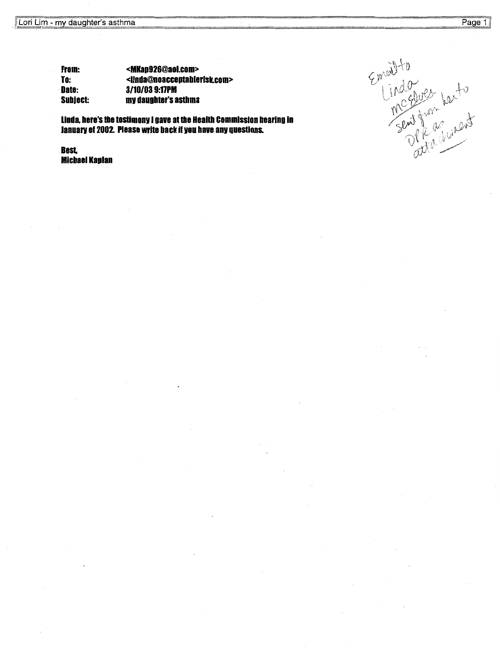From: To: ·Date: Subiect: <MKap926@aol.com> <llnda@noacceptablerisk.com> **3/10/03 9:11PM**  mv daughter's asthma

linda, here's the testimonv I gave at the Health commission hearing in Januarv of 2002. Please write back if vou have anv questions.

**Best**  Michael Kaplan

Emeilto<br>Lindo<br>Sent from Lexto<br>Sent from Lindot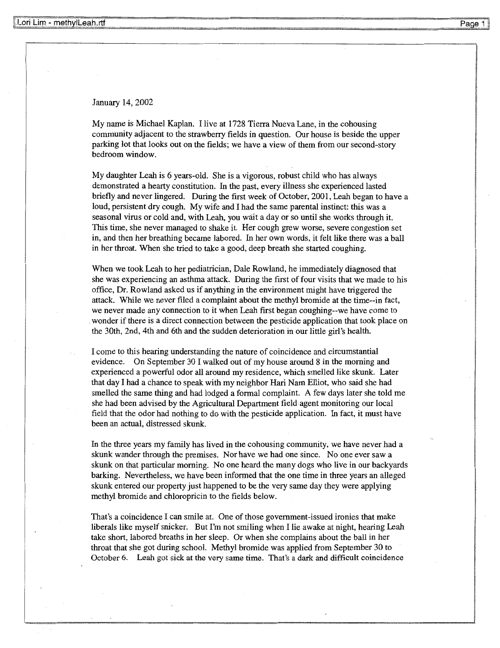January 14, 2002

My name is Michael Kaplan. I live at 1728 Tierra Nueva Lane, in the cohousing community adjacent to the strawberry fields in question. Our house is beside the upper parking lot that looks out on the fields; we have a view of them from our second-story bedroom window.

My daughter Leah is 6 years-old. She is a vigorous, robust child who has always demonstrated a hearty constitution. In the past, every illness she experienced lasted briefly and never lingered. During the first week of October, 2001, Leah began to have a loud, persistent dry cough. My wife and I had the same parental instinct: this was a seasonal virus or cold and, with Leah, you wait a day or so until she works through it. This time, she never managed to shake it. Her cough grew worse, severe congestion set in, and then her breathing became labored. In her own words, it felt like there was a ball in her throat. When she tried to take a good, deep breath she started coughing.

When we took Leah to her pediatrician, Dale Rowland, he immediately diagnosed that she was experiencing an asthma attack. During the first of four visits that we made to his office, Dr. Rowland asked us if anything in the environment might have triggered the attack. While we never filed a complaint about the methyl bromide at the time--in fact, we never made any connection to it when Leah first began coughing--we have come to . wonder if there is a direct connection between the pesticide application that took place on the 30th, 2nd, 4th and 6th and the sudden deterioration in our little girl's health.

I come to this hearing understanding the nature of coincidence and circumstantial evidence. On September 30 I walked out of my house around 8 in the morning and experienced a powerful odor all around my residence, which smelled like skunk. Later that day I had a chance to speak with my neighbor Hari Nam Elliot, who said she had smelled the same thing and had lodged a formal complaint. A few days later she told me she had been advised by the Agricultural Department field agent monitoring our local field that the odor had nothing to do with the pesticide application. In fact, it must have been an actual, distressed skunk.

In the three years my family has lived in the cohousing community, we have never had a skunk wander through the premises. Nor have we had one since. No one ever saw a skunk on that particular morning. No one heard the many dogs who live in our backyards barking. Nevertheless, we have been informed that the one time in three years an alleged skunk entered our property just happened to be the very same day they were applying methyl bromide and chloropricin to the fields below.

That's a coincidence I can smile at. One of those government-issued ironies that make liberals like myself snicker. But I'm not smiling when I lie awake at night, hearing Leah take short, labored breaths in her sleep. Or when she complains about the ball in her throat that she got during school. Methyl bromide was applied from September 30 to October 6. Leah got sick at the very same time. That's a dark and difficult coincidence